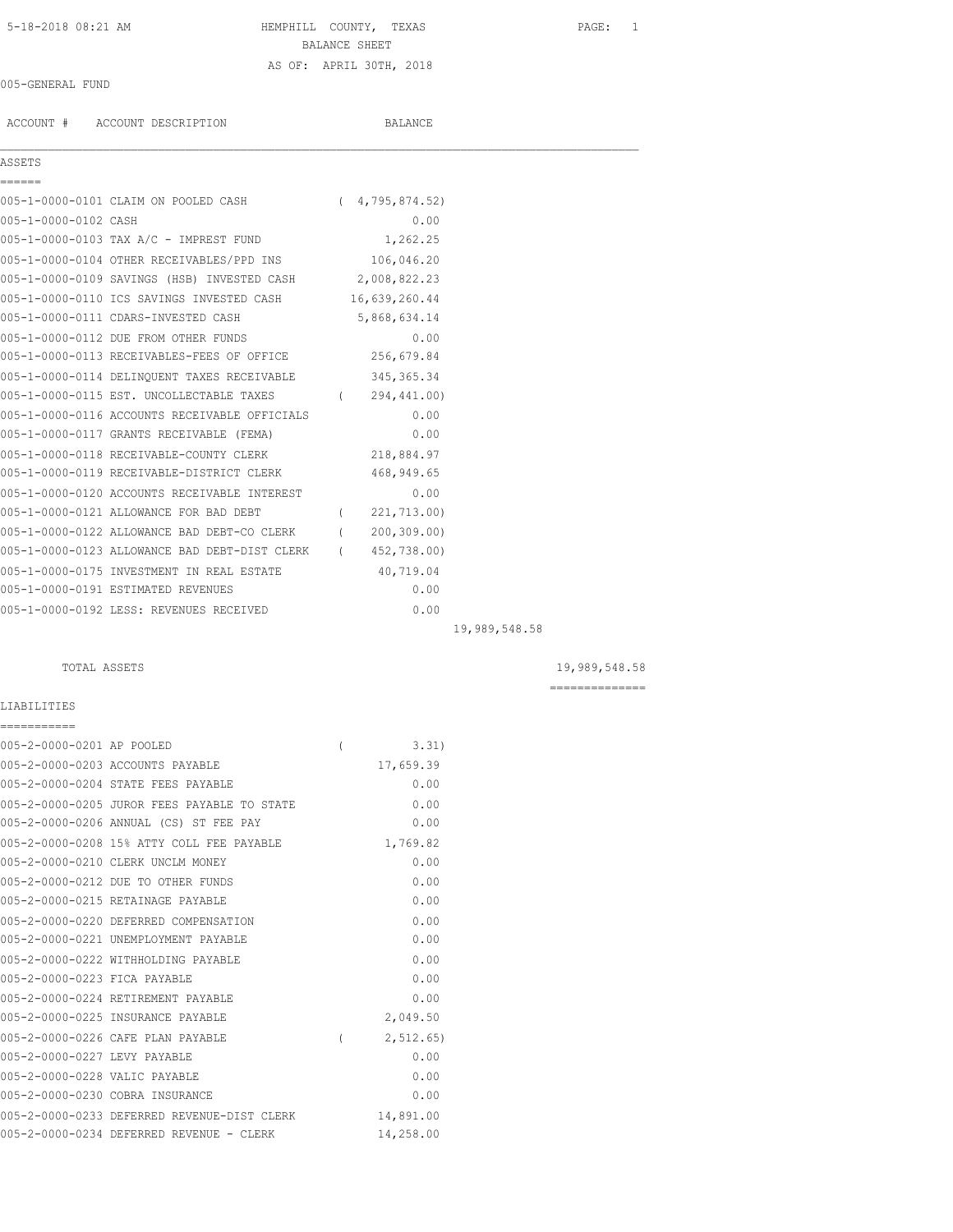5-18-2018 08:21 AM HEMPHILL COUNTY, TEXAS PAGE: 1 BALANCE SHEET

# 005-GENERAL FUND

ACCOUNT # ACCOUNT DESCRIPTION BALANCE

AS OF: APRIL 30TH, 2018

### ASSETS ======

 $\mathcal{L}_\mathcal{L} = \mathcal{L}_\mathcal{L}$ 

|                      | 005-1-0000-0101 CLAIM ON POOLED CASH            | (4, 795, 874, 52)                |
|----------------------|-------------------------------------------------|----------------------------------|
| 005-1-0000-0102 CASH |                                                 | 0.00                             |
|                      | 005-1-0000-0103 TAX A/C - IMPREST FUND          | 1,262.25                         |
|                      | 005-1-0000-0104 OTHER RECEIVABLES/PPD INS       | 106,046.20                       |
|                      | 005-1-0000-0109 SAVINGS (HSB) INVESTED CASH     | 2,008,822.23                     |
|                      | 005-1-0000-0110 ICS SAVINGS INVESTED CASH       | 16,639,260.44                    |
|                      | 005-1-0000-0111 CDARS-INVESTED CASH             | 5,868,634.14                     |
|                      | 005-1-0000-0112 DUE FROM OTHER FUNDS            | 0.00                             |
|                      | 005-1-0000-0113 RECEIVABLES-FEES OF OFFICE      | 256,679.84                       |
|                      | 005-1-0000-0114 DELINOUENT TAXES RECEIVABLE     | 345, 365. 34                     |
|                      | $0.05 - 4 - 0.000 - 0.445$ mam iniqaring manuma | $\sqrt{2}$ 0.000 $\sqrt{2}$ 0.01 |

| 005-1-0000-0115 EST. UNCOLLECTABLE TAXES      | 294,441.00)   |
|-----------------------------------------------|---------------|
| 005-1-0000-0116 ACCOUNTS RECEIVABLE OFFICIALS | 0.00          |
| 005-1-0000-0117 GRANTS RECEIVABLE (FEMA)      | 0.00          |
| 005-1-0000-0118 RECEIVABLE-COUNTY CLERK       | 218,884.97    |
| 005-1-0000-0119 RECEIVABLE-DISTRICT CLERK     | 468,949.65    |
| 005-1-0000-0120 ACCOUNTS RECEIVABLE INTEREST  | 0.00          |
| 005-1-0000-0121 ALLOWANCE FOR BAD DEBT        | 221,713.00)   |
| 005-1-0000-0122 ALLOWANCE BAD DEBT-CO CLERK   | 200, 309, 001 |
| 005-1-0000-0123 ALLOWANCE BAD DEBT-DIST CLERK | 452,738.00)   |
| 005-1-0000-0175 INVESTMENT IN REAL ESTATE     | 40,719.04     |
| 005-1-0000-0191 ESTIMATED REVENUES            | 0.00          |

005-1-0000-0192 LESS: REVENUES RECEIVED 0.00

LIABILITIES ===========

TOTAL ASSETS 19,989,548.58

19,989,548.58

==============

| 005-2-0000-0201 AP POOLED     |                                             |          | 3.31)       |
|-------------------------------|---------------------------------------------|----------|-------------|
|                               | 005-2-0000-0203 ACCOUNTS PAYABLE            |          | 17,659.39   |
|                               | 005-2-0000-0204 STATE FEES PAYABLE          |          | 0.00        |
|                               | 005-2-0000-0205 JUROR FEES PAYABLE TO STATE |          | 0.00        |
|                               | 005-2-0000-0206 ANNUAL (CS) ST FEE PAY      |          | 0.00        |
|                               | 005-2-0000-0208 15% ATTY COLL FEE PAYABLE   |          | 1,769.82    |
|                               | 005-2-0000-0210 CLERK UNCLM MONEY           |          | 0.00        |
|                               | 005-2-0000-0212 DUE TO OTHER FUNDS          |          | 0.00        |
|                               | 005-2-0000-0215 RETAINAGE PAYABLE           |          | 0.00        |
|                               | 005-2-0000-0220 DEFERRED COMPENSATION       |          | 0.00        |
|                               | 005-2-0000-0221 UNEMPLOYMENT PAYABLE        |          | 0.00        |
|                               | 005-2-0000-0222 WITHHOLDING PAYABLE         |          | 0.00        |
| 005-2-0000-0223 FICA PAYABLE  |                                             |          | 0.00        |
|                               | 005-2-0000-0224 RETIREMENT PAYABLE          |          | 0.00        |
|                               | 005-2-0000-0225 INSURANCE PAYABLE           |          | 2,049.50    |
|                               | 005-2-0000-0226 CAFE PLAN PAYABLE           | $\left($ | 2, 512, 65) |
| 005-2-0000-0227 LEVY PAYABLE  |                                             |          | 0.00        |
| 005-2-0000-0228 VALIC PAYABLE |                                             |          | 0.00        |
|                               | 005-2-0000-0230 COBRA INSURANCE             |          | 0.00        |
|                               | 005-2-0000-0233 DEFERRED REVENUE-DIST CLERK |          | 14,891.00   |
|                               | 005-2-0000-0234 DEFERRED REVENUE - CLERK    |          | 14,258.00   |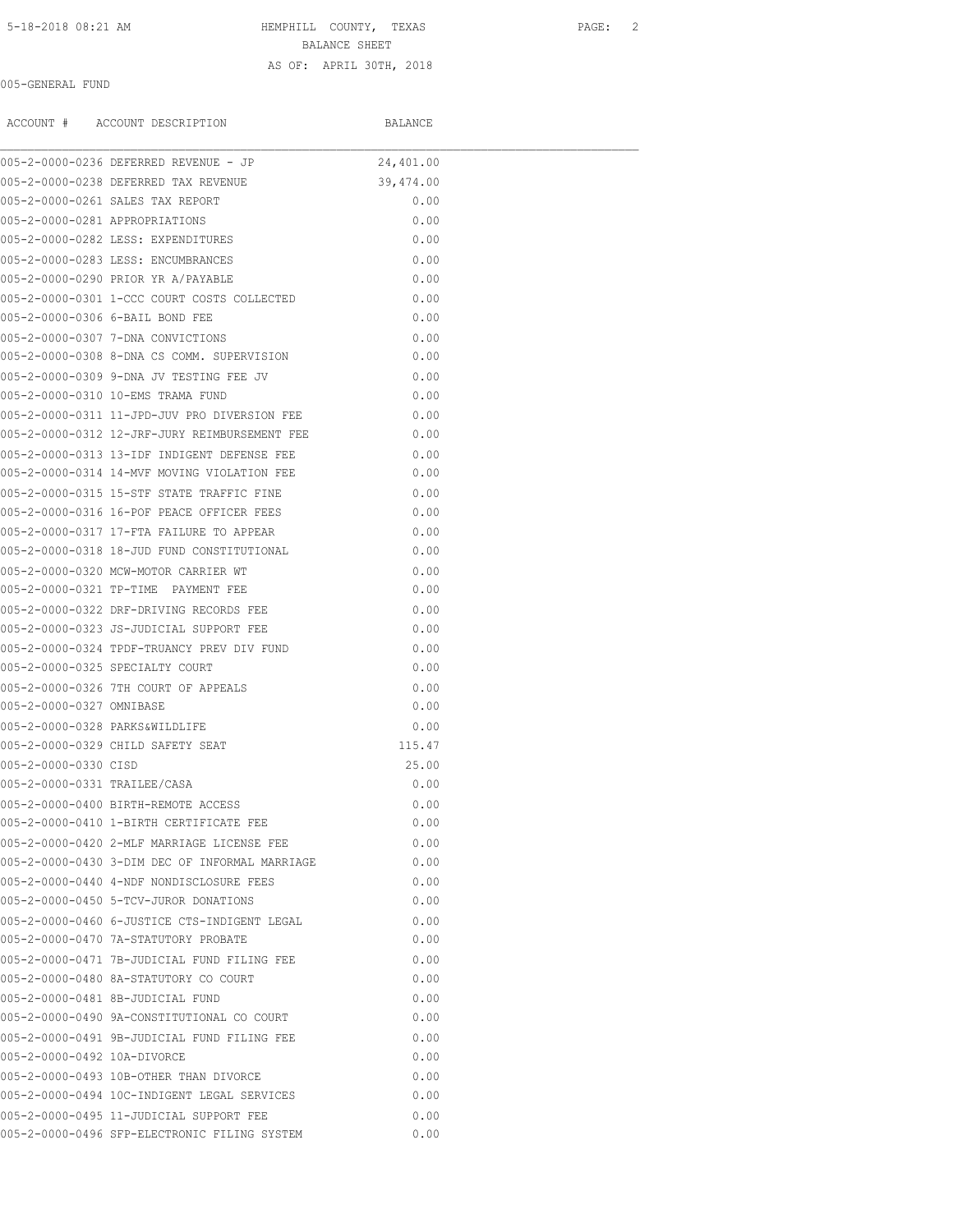# 5-18-2018 08:21 AM HEMPHILL COUNTY, TEXAS PAGE: 2

BALANCE SHEET

### AS OF: APRIL 30TH, 2018

# 005-GENERAL FUND

ACCOUNT # ACCOUNT DESCRIPTION BALANCE

|                                | 005-2-0000-0236 DEFERRED REVENUE - JP          | 24,401.00 |  |
|--------------------------------|------------------------------------------------|-----------|--|
|                                | 005-2-0000-0238 DEFERRED TAX REVENUE           | 39,474.00 |  |
|                                | 005-2-0000-0261 SALES TAX REPORT               | 0.00      |  |
| 005-2-0000-0281 APPROPRIATIONS |                                                | 0.00      |  |
|                                | 005-2-0000-0282 LESS: EXPENDITURES             | 0.00      |  |
|                                | 005-2-0000-0283 LESS: ENCUMBRANCES             | 0.00      |  |
|                                | 005-2-0000-0290 PRIOR YR A/PAYABLE             | 0.00      |  |
|                                | 005-2-0000-0301 1-CCC COURT COSTS COLLECTED    | 0.00      |  |
|                                | 005-2-0000-0306 6-BAIL BOND FEE                | 0.00      |  |
|                                | 005-2-0000-0307 7-DNA CONVICTIONS              | 0.00      |  |
|                                | 005-2-0000-0308 8-DNA CS COMM. SUPERVISION     | 0.00      |  |
|                                | 005-2-0000-0309 9-DNA JV TESTING FEE JV        | 0.00      |  |
|                                | 005-2-0000-0310 10-EMS TRAMA FUND              | 0.00      |  |
|                                | 005-2-0000-0311 11-JPD-JUV PRO DIVERSION FEE   | 0.00      |  |
|                                | 005-2-0000-0312 12-JRF-JURY REIMBURSEMENT FEE  | 0.00      |  |
|                                | 005-2-0000-0313 13-IDF INDIGENT DEFENSE FEE    | 0.00      |  |
|                                | 005-2-0000-0314 14-MVF MOVING VIOLATION FEE    | 0.00      |  |
|                                | 005-2-0000-0315 15-STF STATE TRAFFIC FINE      | 0.00      |  |
|                                | 005-2-0000-0316 16-POF PEACE OFFICER FEES      | 0.00      |  |
|                                | 005-2-0000-0317 17-FTA FAILURE TO APPEAR       | 0.00      |  |
|                                | 005-2-0000-0318 18-JUD FUND CONSTITUTIONAL     | 0.00      |  |
|                                | 005-2-0000-0320 MCW-MOTOR CARRIER WT           | 0.00      |  |
|                                | 005-2-0000-0321 TP-TIME PAYMENT FEE            | 0.00      |  |
|                                | 005-2-0000-0322 DRF-DRIVING RECORDS FEE        | 0.00      |  |
|                                | 005-2-0000-0323 JS-JUDICIAL SUPPORT FEE        | 0.00      |  |
|                                | 005-2-0000-0324 TPDF-TRUANCY PREV DIV FUND     | 0.00      |  |
|                                | 005-2-0000-0325 SPECIALTY COURT                | 0.00      |  |
|                                | 005-2-0000-0326 7TH COURT OF APPEALS           | 0.00      |  |
| 005-2-0000-0327 OMNIBASE       |                                                | 0.00      |  |
| 005-2-0000-0328 PARKS&WILDLIFE |                                                | 0.00      |  |
|                                | 005-2-0000-0329 CHILD SAFETY SEAT              | 115.47    |  |
| 005-2-0000-0330 CISD           |                                                | 25.00     |  |
| 005-2-0000-0331 TRAILEE/CASA   |                                                | 0.00      |  |
|                                | 005-2-0000-0400 BIRTH-REMOTE ACCESS            | 0.00      |  |
|                                | 005-2-0000-0410 1-BIRTH CERTIFICATE FEE        | 0.00      |  |
|                                | 005-2-0000-0420 2-MLF MARRIAGE LICENSE FEE     | 0.00      |  |
|                                | 005-2-0000-0430 3-DIM DEC OF INFORMAL MARRIAGE | 0.00      |  |
|                                | 005-2-0000-0440 4-NDF NONDISCLOSURE FEES       | 0.00      |  |
|                                | 005-2-0000-0450 5-TCV-JUROR DONATIONS          | 0.00      |  |
|                                | 005-2-0000-0460 6-JUSTICE CTS-INDIGENT LEGAL   | 0.00      |  |
|                                | 005-2-0000-0470 7A-STATUTORY PROBATE           | 0.00      |  |
|                                | 005-2-0000-0471 7B-JUDICIAL FUND FILING FEE    | 0.00      |  |
|                                | 005-2-0000-0480 8A-STATUTORY CO COURT          | 0.00      |  |
|                                | 005-2-0000-0481 8B-JUDICIAL FUND               | 0.00      |  |
|                                | 005-2-0000-0490 9A-CONSTITUTIONAL CO COURT     | 0.00      |  |
|                                | 005-2-0000-0491 9B-JUDICIAL FUND FILING FEE    | 0.00      |  |
| 005-2-0000-0492 10A-DIVORCE    |                                                | 0.00      |  |
|                                | 005-2-0000-0493 10B-OTHER THAN DIVORCE         | 0.00      |  |
|                                | 005-2-0000-0494 10C-INDIGENT LEGAL SERVICES    | 0.00      |  |
|                                | 005-2-0000-0495 11-JUDICIAL SUPPORT FEE        | 0.00      |  |
|                                | 005-2-0000-0496 SFP-ELECTRONIC FILING SYSTEM   | 0.00      |  |
|                                |                                                |           |  |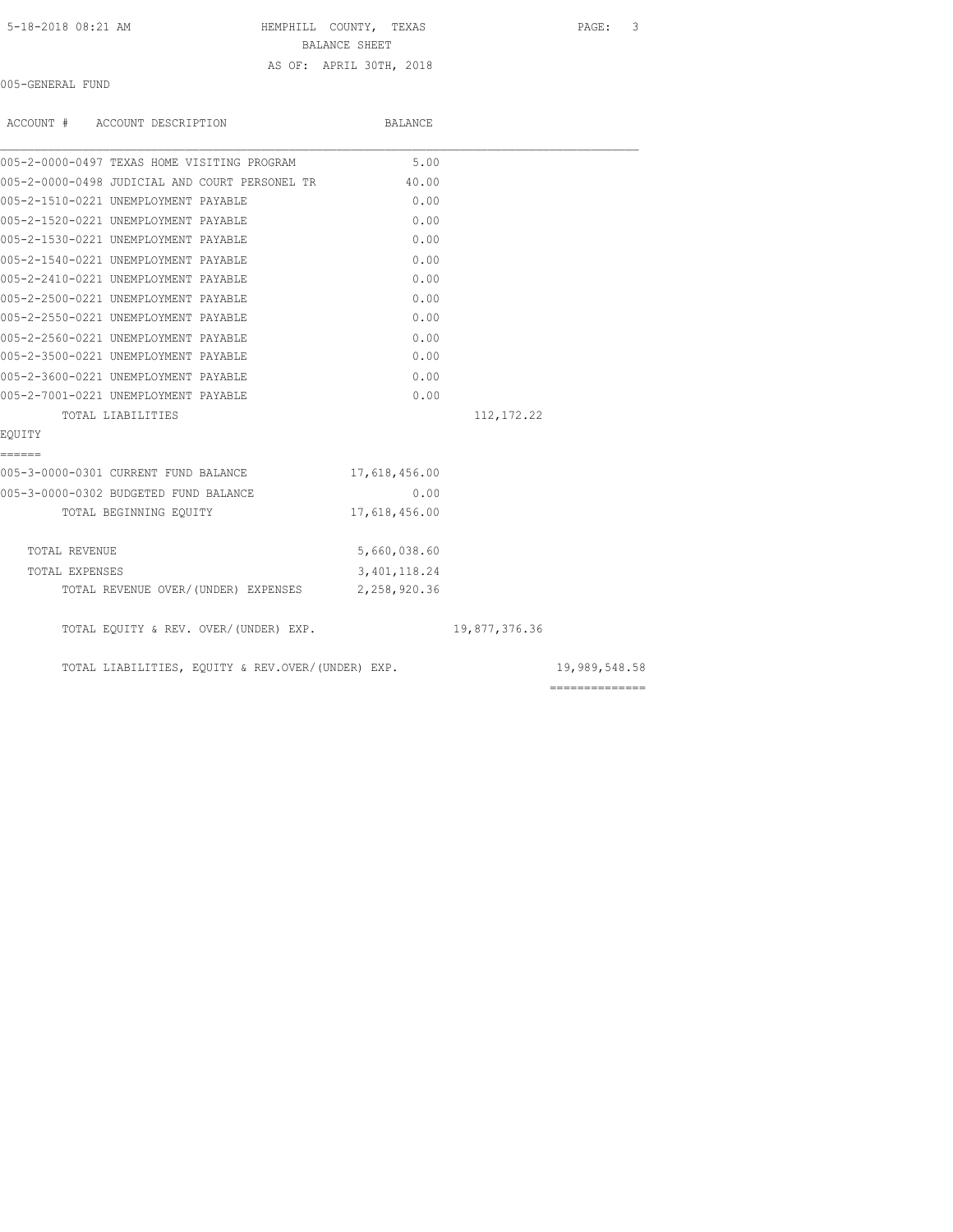HEMPHILL COUNTY, TEXAS PAGE: 3

BALANCE SHEET

## AS OF: APRIL 30TH, 2018

005-GENERAL FUND

| ACCOUNT # ACCOUNT DESCRIPTION                        | BALANCE        |               |               |
|------------------------------------------------------|----------------|---------------|---------------|
| 005-2-0000-0497 TEXAS HOME VISITING PROGRAM          | 5.00           |               |               |
| 005-2-0000-0498 JUDICIAL AND COURT PERSONEL TR 40.00 |                |               |               |
| 005-2-1510-0221 UNEMPLOYMENT PAYABLE                 | 0.00           |               |               |
| 005-2-1520-0221 UNEMPLOYMENT PAYABLE                 | 0.00           |               |               |
| 005-2-1530-0221 UNEMPLOYMENT PAYABLE                 | 0.00           |               |               |
| 005-2-1540-0221 UNEMPLOYMENT PAYABLE                 | 0.00           |               |               |
| 005-2-2410-0221 UNEMPLOYMENT PAYABLE                 | 0.00           |               |               |
| 005-2-2500-0221 UNEMPLOYMENT PAYABLE                 | 0.00           |               |               |
| 005-2-2550-0221 UNEMPLOYMENT PAYABLE                 | 0.00           |               |               |
| 005-2-2560-0221 UNEMPLOYMENT PAYABLE                 | 0.00           |               |               |
| 005-2-3500-0221 UNEMPLOYMENT PAYABLE                 | 0.00           |               |               |
| 005-2-3600-0221 UNEMPLOYMENT PAYABLE                 | 0.00           |               |               |
| 005-2-7001-0221 UNEMPLOYMENT PAYABLE                 | 0.00           |               |               |
| TOTAL LIABILITIES                                    |                | 112, 172.22   |               |
| EOUITY                                               |                |               |               |
| ======                                               |                |               |               |
| 005-3-0000-0301 CURRENT FUND BALANCE                 | 17,618,456.00  |               |               |
| 005-3-0000-0302 BUDGETED FUND BALANCE                | 0.00           |               |               |
| TOTAL BEGINNING EQUITY                               | 17,618,456.00  |               |               |
| TOTAL REVENUE                                        | 5,660,038.60   |               |               |
| TOTAL EXPENSES                                       | 3, 401, 118.24 |               |               |
| TOTAL REVENUE OVER/(UNDER) EXPENSES 2,258,920.36     |                |               |               |
| TOTAL EQUITY & REV. OVER/(UNDER) EXP.                |                | 19,877,376.36 |               |
| TOTAL LIABILITIES, EQUITY & REV.OVER/(UNDER) EXP.    |                |               | 19,989,548.58 |

==============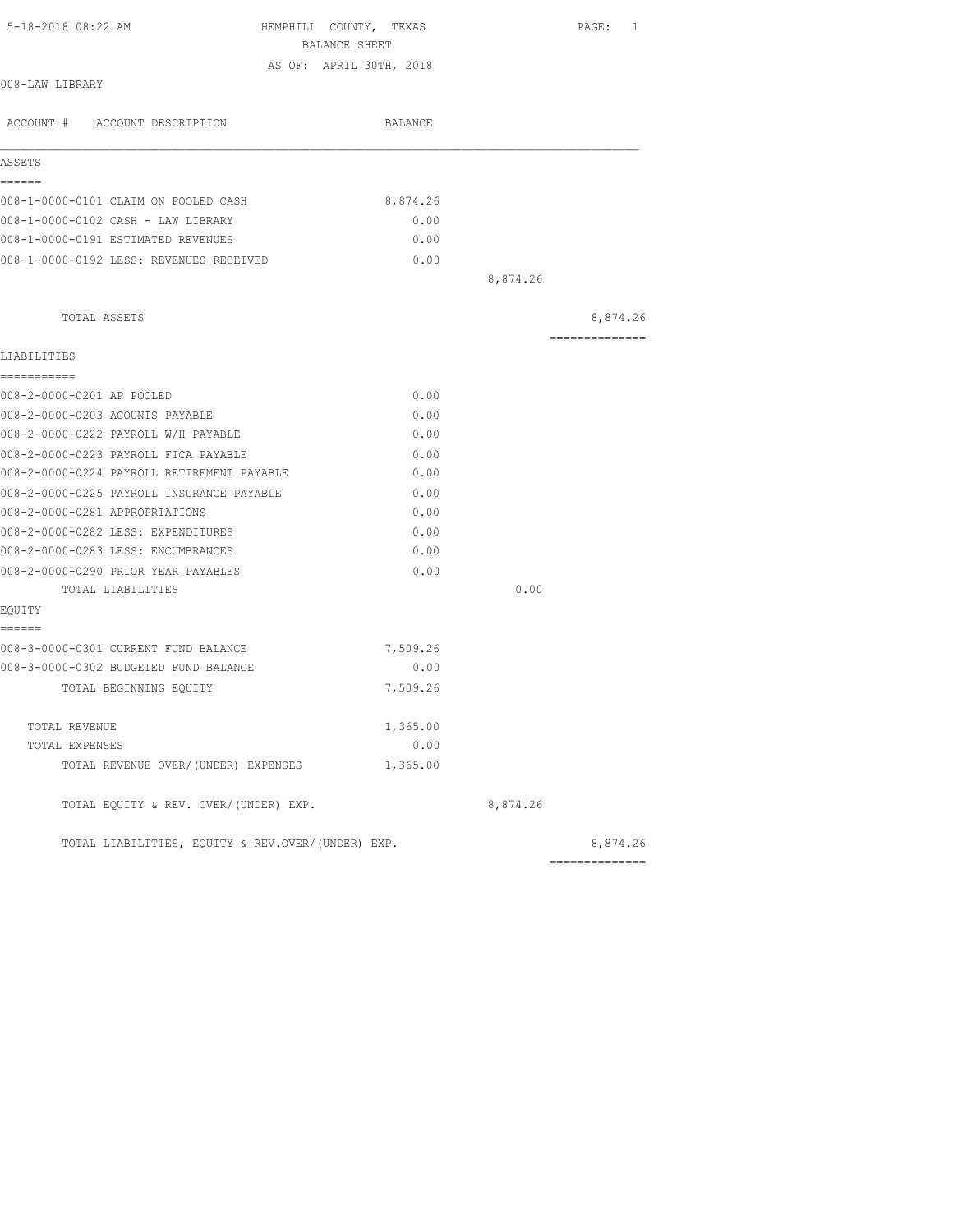|                                                   | BALANCE SHEET           |          | PAGE: 1        |
|---------------------------------------------------|-------------------------|----------|----------------|
|                                                   | AS OF: APRIL 30TH, 2018 |          |                |
| 008-LAW LIBRARY                                   |                         |          |                |
| ACCOUNT # ACCOUNT DESCRIPTION                     | BALANCE                 |          |                |
| ASSETS                                            |                         |          |                |
| ======                                            |                         |          |                |
| 008-1-0000-0101 CLAIM ON POOLED CASH              | 8,874.26                |          |                |
| 008-1-0000-0102 CASH - LAW LIBRARY                | 0.00                    |          |                |
| 008-1-0000-0191 ESTIMATED REVENUES                | 0.00                    |          |                |
| 008-1-0000-0192 LESS: REVENUES RECEIVED           | 0.00                    |          |                |
|                                                   |                         | 8,874.26 |                |
| TOTAL ASSETS                                      |                         |          | 8,874.26       |
|                                                   |                         |          | ============== |
| LIABILITIES<br>-----------                        |                         |          |                |
| 008-2-0000-0201 AP POOLED                         | 0.00                    |          |                |
| 008-2-0000-0203 ACOUNTS PAYABLE                   | 0.00                    |          |                |
| 008-2-0000-0222 PAYROLL W/H PAYABLE               | 0.00                    |          |                |
| 008-2-0000-0223 PAYROLL FICA PAYABLE              | 0.00                    |          |                |
| 008-2-0000-0224 PAYROLL RETIREMENT PAYABLE        | 0.00                    |          |                |
| 008-2-0000-0225 PAYROLL INSURANCE PAYABLE         | 0.00                    |          |                |
| 008-2-0000-0281 APPROPRIATIONS                    | 0.00                    |          |                |
| 008-2-0000-0282 LESS: EXPENDITURES                | 0.00                    |          |                |
| 008-2-0000-0283 LESS: ENCUMBRANCES                | 0.00                    |          |                |
| 008-2-0000-0290 PRIOR YEAR PAYABLES               | 0.00                    |          |                |
| TOTAL LIABILITIES                                 |                         | 0.00     |                |
| EQUITY                                            |                         |          |                |
| ======                                            |                         |          |                |
| 008-3-0000-0301 CURRENT FUND BALANCE              | 7,509.26                |          |                |
| 008-3-0000-0302 BUDGETED FUND BALANCE             | 0.00                    |          |                |
| TOTAL BEGINNING EOUITY                            | 7,509.26                |          |                |
|                                                   |                         |          |                |
| TOTAL REVENUE                                     | 1,365.00                |          |                |
| TOTAL EXPENSES                                    | 0.00                    |          |                |
| TOTAL REVENUE OVER/(UNDER) EXPENSES               | 1,365.00                |          |                |
| TOTAL EQUITY & REV. OVER/(UNDER) EXP.             |                         | 8,874.26 |                |
| TOTAL LIABILITIES, EOUITY & REV.OVER/(UNDER) EXP. |                         |          | 8,874.26       |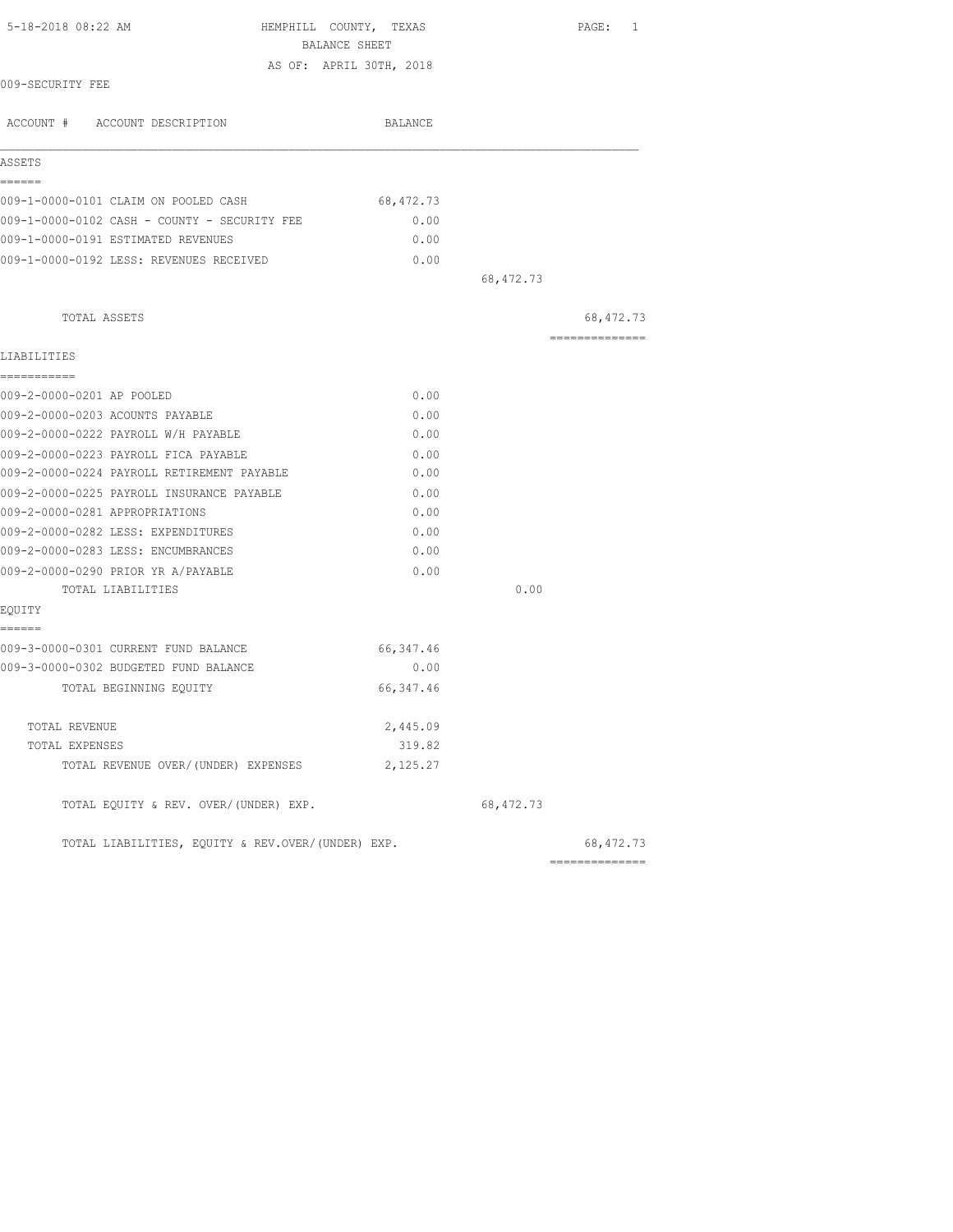| 5-18-2018 08:22 AM                                | HEMPHILL COUNTY, TEXAS<br>BALANCE SHEET |            | PAGE: 1                                                                                                                                                                                                                                                                                                                                                                                                                                                                                |
|---------------------------------------------------|-----------------------------------------|------------|----------------------------------------------------------------------------------------------------------------------------------------------------------------------------------------------------------------------------------------------------------------------------------------------------------------------------------------------------------------------------------------------------------------------------------------------------------------------------------------|
|                                                   | AS OF: APRIL 30TH, 2018                 |            |                                                                                                                                                                                                                                                                                                                                                                                                                                                                                        |
| 009-SECURITY FEE                                  |                                         |            |                                                                                                                                                                                                                                                                                                                                                                                                                                                                                        |
| ACCOUNT # ACCOUNT DESCRIPTION                     | BALANCE                                 |            |                                                                                                                                                                                                                                                                                                                                                                                                                                                                                        |
| ASSETS                                            |                                         |            |                                                                                                                                                                                                                                                                                                                                                                                                                                                                                        |
| ------                                            |                                         |            |                                                                                                                                                                                                                                                                                                                                                                                                                                                                                        |
| 009-1-0000-0101 CLAIM ON POOLED CASH              | 68, 472.73                              |            |                                                                                                                                                                                                                                                                                                                                                                                                                                                                                        |
| 009-1-0000-0102 CASH - COUNTY - SECURITY FEE      | 0.00                                    |            |                                                                                                                                                                                                                                                                                                                                                                                                                                                                                        |
| 009-1-0000-0191 ESTIMATED REVENUES                | 0.00                                    |            |                                                                                                                                                                                                                                                                                                                                                                                                                                                                                        |
| 009-1-0000-0192 LESS: REVENUES RECEIVED           | 0.00                                    |            |                                                                                                                                                                                                                                                                                                                                                                                                                                                                                        |
|                                                   |                                         | 68, 472.73 |                                                                                                                                                                                                                                                                                                                                                                                                                                                                                        |
| TOTAL ASSETS                                      |                                         |            | 68,472.73                                                                                                                                                                                                                                                                                                                                                                                                                                                                              |
| LIABILITIES                                       |                                         |            | $\begin{array}{cccccccccccccc} \multicolumn{2}{c}{} & \multicolumn{2}{c}{} & \multicolumn{2}{c}{} & \multicolumn{2}{c}{} & \multicolumn{2}{c}{} & \multicolumn{2}{c}{} & \multicolumn{2}{c}{} & \multicolumn{2}{c}{} & \multicolumn{2}{c}{} & \multicolumn{2}{c}{} & \multicolumn{2}{c}{} & \multicolumn{2}{c}{} & \multicolumn{2}{c}{} & \multicolumn{2}{c}{} & \multicolumn{2}{c}{} & \multicolumn{2}{c}{} & \multicolumn{2}{c}{} & \multicolumn{2}{c}{} & \multicolumn{2}{c}{} & \$ |
| ===========                                       |                                         |            |                                                                                                                                                                                                                                                                                                                                                                                                                                                                                        |
| 009-2-0000-0201 AP POOLED                         | 0.00                                    |            |                                                                                                                                                                                                                                                                                                                                                                                                                                                                                        |
| 009-2-0000-0203 ACOUNTS PAYABLE                   | 0.00                                    |            |                                                                                                                                                                                                                                                                                                                                                                                                                                                                                        |
| 009-2-0000-0222 PAYROLL W/H PAYABLE               | 0.00                                    |            |                                                                                                                                                                                                                                                                                                                                                                                                                                                                                        |
| 009-2-0000-0223 PAYROLL FICA PAYABLE              | 0.00                                    |            |                                                                                                                                                                                                                                                                                                                                                                                                                                                                                        |
| 009-2-0000-0224 PAYROLL RETIREMENT PAYABLE        | 0.00                                    |            |                                                                                                                                                                                                                                                                                                                                                                                                                                                                                        |
| 009-2-0000-0225 PAYROLL INSURANCE PAYABLE         | 0.00                                    |            |                                                                                                                                                                                                                                                                                                                                                                                                                                                                                        |
| 009-2-0000-0281 APPROPRIATIONS                    | 0.00                                    |            |                                                                                                                                                                                                                                                                                                                                                                                                                                                                                        |
| 009-2-0000-0282 LESS: EXPENDITURES                | 0.00                                    |            |                                                                                                                                                                                                                                                                                                                                                                                                                                                                                        |
| 009-2-0000-0283 LESS: ENCUMBRANCES                | 0.00                                    |            |                                                                                                                                                                                                                                                                                                                                                                                                                                                                                        |
| 009-2-0000-0290 PRIOR YR A/PAYABLE                | 0.00                                    |            |                                                                                                                                                                                                                                                                                                                                                                                                                                                                                        |
| TOTAL LIABILITIES                                 |                                         | 0.00       |                                                                                                                                                                                                                                                                                                                                                                                                                                                                                        |
| EQUITY                                            |                                         |            |                                                                                                                                                                                                                                                                                                                                                                                                                                                                                        |
| ======<br>009-3-0000-0301 CURRENT FUND BALANCE    | 66, 347.46                              |            |                                                                                                                                                                                                                                                                                                                                                                                                                                                                                        |
| 009-3-0000-0302 BUDGETED FUND BALANCE             | 0.00                                    |            |                                                                                                                                                                                                                                                                                                                                                                                                                                                                                        |
| TOTAL BEGINNING EOUITY                            | 66, 347.46                              |            |                                                                                                                                                                                                                                                                                                                                                                                                                                                                                        |
|                                                   |                                         |            |                                                                                                                                                                                                                                                                                                                                                                                                                                                                                        |
| TOTAL REVENUE                                     | 2,445.09                                |            |                                                                                                                                                                                                                                                                                                                                                                                                                                                                                        |
| TOTAL EXPENSES                                    | 319.82                                  |            |                                                                                                                                                                                                                                                                                                                                                                                                                                                                                        |
| TOTAL REVENUE OVER/(UNDER) EXPENSES               | 2,125.27                                |            |                                                                                                                                                                                                                                                                                                                                                                                                                                                                                        |
| TOTAL EQUITY & REV. OVER/(UNDER) EXP.             |                                         | 68, 472.73 |                                                                                                                                                                                                                                                                                                                                                                                                                                                                                        |
| TOTAL LIABILITIES, EQUITY & REV.OVER/(UNDER) EXP. |                                         |            | 68, 472.73                                                                                                                                                                                                                                                                                                                                                                                                                                                                             |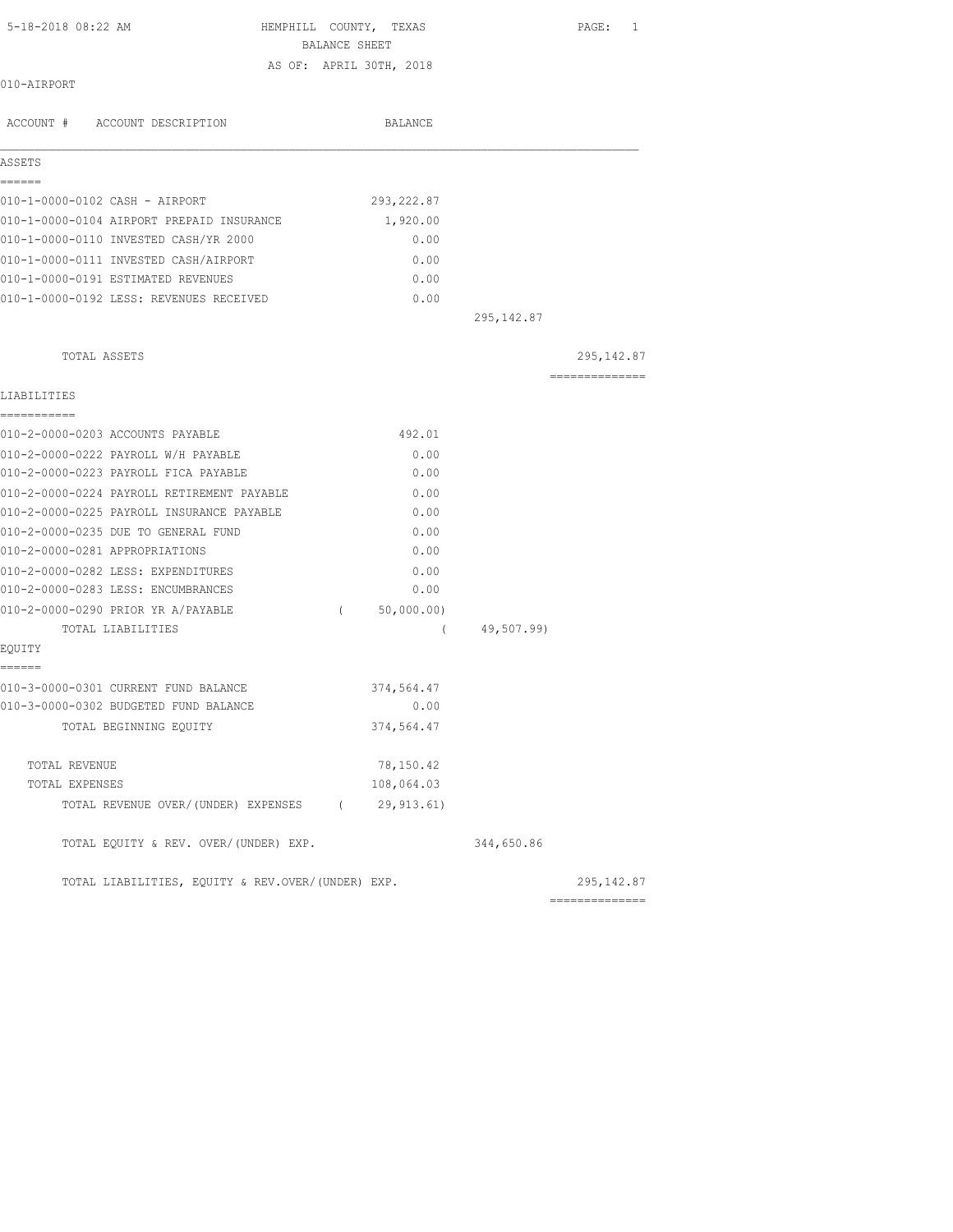| 5-18-2018 08:22 AM                                | HEMPHILL COUNTY, TEXAS<br>BALANCE SHEET |             | PAGE: 1                                                                                                                                                                                                                                                                                                                                                                                                                                                                                |
|---------------------------------------------------|-----------------------------------------|-------------|----------------------------------------------------------------------------------------------------------------------------------------------------------------------------------------------------------------------------------------------------------------------------------------------------------------------------------------------------------------------------------------------------------------------------------------------------------------------------------------|
|                                                   | AS OF: APRIL 30TH, 2018                 |             |                                                                                                                                                                                                                                                                                                                                                                                                                                                                                        |
| 010-AIRPORT                                       |                                         |             |                                                                                                                                                                                                                                                                                                                                                                                                                                                                                        |
| ACCOUNT # ACCOUNT DESCRIPTION                     | BALANCE                                 |             |                                                                                                                                                                                                                                                                                                                                                                                                                                                                                        |
| ASSETS                                            |                                         |             |                                                                                                                                                                                                                                                                                                                                                                                                                                                                                        |
| ======                                            |                                         |             |                                                                                                                                                                                                                                                                                                                                                                                                                                                                                        |
| 010-1-0000-0102 CASH - AIRPORT                    | 293, 222.87                             |             |                                                                                                                                                                                                                                                                                                                                                                                                                                                                                        |
| 010-1-0000-0104 AIRPORT PREPAID INSURANCE         | 1,920.00                                |             |                                                                                                                                                                                                                                                                                                                                                                                                                                                                                        |
| 010-1-0000-0110 INVESTED CASH/YR 2000             | 0.00                                    |             |                                                                                                                                                                                                                                                                                                                                                                                                                                                                                        |
| 010-1-0000-0111 INVESTED CASH/AIRPORT             | 0.00                                    |             |                                                                                                                                                                                                                                                                                                                                                                                                                                                                                        |
| 010-1-0000-0191 ESTIMATED REVENUES                | 0.00                                    |             |                                                                                                                                                                                                                                                                                                                                                                                                                                                                                        |
| 010-1-0000-0192 LESS: REVENUES RECEIVED           | 0.00                                    |             |                                                                                                                                                                                                                                                                                                                                                                                                                                                                                        |
|                                                   |                                         | 295, 142.87 |                                                                                                                                                                                                                                                                                                                                                                                                                                                                                        |
| TOTAL ASSETS                                      |                                         |             | 295, 142.87                                                                                                                                                                                                                                                                                                                                                                                                                                                                            |
| LIABILITIES                                       |                                         |             | $\begin{array}{cccccccccc} \multicolumn{2}{c}{} & \multicolumn{2}{c}{} & \multicolumn{2}{c}{} & \multicolumn{2}{c}{} & \multicolumn{2}{c}{} & \multicolumn{2}{c}{} & \multicolumn{2}{c}{} & \multicolumn{2}{c}{} & \multicolumn{2}{c}{} & \multicolumn{2}{c}{} & \multicolumn{2}{c}{} & \multicolumn{2}{c}{} & \multicolumn{2}{c}{} & \multicolumn{2}{c}{} & \multicolumn{2}{c}{} & \multicolumn{2}{c}{} & \multicolumn{2}{c}{} & \multicolumn{2}{c}{} & \multicolumn{2}{c}{} & \mult$ |
| ===========                                       |                                         |             |                                                                                                                                                                                                                                                                                                                                                                                                                                                                                        |
| 010-2-0000-0203 ACCOUNTS PAYABLE                  | 492.01                                  |             |                                                                                                                                                                                                                                                                                                                                                                                                                                                                                        |
| 010-2-0000-0222 PAYROLL W/H PAYABLE               | 0.00                                    |             |                                                                                                                                                                                                                                                                                                                                                                                                                                                                                        |
| 010-2-0000-0223 PAYROLL FICA PAYABLE              | 0.00                                    |             |                                                                                                                                                                                                                                                                                                                                                                                                                                                                                        |
| 010-2-0000-0224 PAYROLL RETIREMENT PAYABLE        | 0.00                                    |             |                                                                                                                                                                                                                                                                                                                                                                                                                                                                                        |
| 010-2-0000-0225 PAYROLL INSURANCE PAYABLE         | 0.00                                    |             |                                                                                                                                                                                                                                                                                                                                                                                                                                                                                        |
| 010-2-0000-0235 DUE TO GENERAL FUND               | 0.00                                    |             |                                                                                                                                                                                                                                                                                                                                                                                                                                                                                        |
| 010-2-0000-0281 APPROPRIATIONS                    | 0.00                                    |             |                                                                                                                                                                                                                                                                                                                                                                                                                                                                                        |
| 010-2-0000-0282 LESS: EXPENDITURES                | 0.00                                    |             |                                                                                                                                                                                                                                                                                                                                                                                                                                                                                        |
| 010-2-0000-0283 LESS: ENCUMBRANCES                | 0.00                                    |             |                                                                                                                                                                                                                                                                                                                                                                                                                                                                                        |
| 010-2-0000-0290 PRIOR YR A/PAYABLE                | (50,000.00)                             |             |                                                                                                                                                                                                                                                                                                                                                                                                                                                                                        |
| TOTAL LIABILITIES<br>EQUITY                       | $\left($                                | 49,507.99)  |                                                                                                                                                                                                                                                                                                                                                                                                                                                                                        |
| ======                                            |                                         |             |                                                                                                                                                                                                                                                                                                                                                                                                                                                                                        |
| 010-3-0000-0301 CURRENT FUND BALANCE              | 374,564.47                              |             |                                                                                                                                                                                                                                                                                                                                                                                                                                                                                        |
| 010-3-0000-0302 BUDGETED FUND BALANCE             | 0.00                                    |             |                                                                                                                                                                                                                                                                                                                                                                                                                                                                                        |
| TOTAL BEGINNING EQUITY                            | 374,564.47                              |             |                                                                                                                                                                                                                                                                                                                                                                                                                                                                                        |
| TOTAL REVENUE                                     | 78,150.42                               |             |                                                                                                                                                                                                                                                                                                                                                                                                                                                                                        |
| TOTAL EXPENSES                                    | 108,064.03                              |             |                                                                                                                                                                                                                                                                                                                                                                                                                                                                                        |
| TOTAL REVENUE OVER/(UNDER) EXPENSES (29,913.61)   |                                         |             |                                                                                                                                                                                                                                                                                                                                                                                                                                                                                        |
| TOTAL EQUITY & REV. OVER/(UNDER) EXP.             |                                         | 344,650.86  |                                                                                                                                                                                                                                                                                                                                                                                                                                                                                        |
| TOTAL LIABILITIES, EQUITY & REV.OVER/(UNDER) EXP. |                                         |             | 295,142.87                                                                                                                                                                                                                                                                                                                                                                                                                                                                             |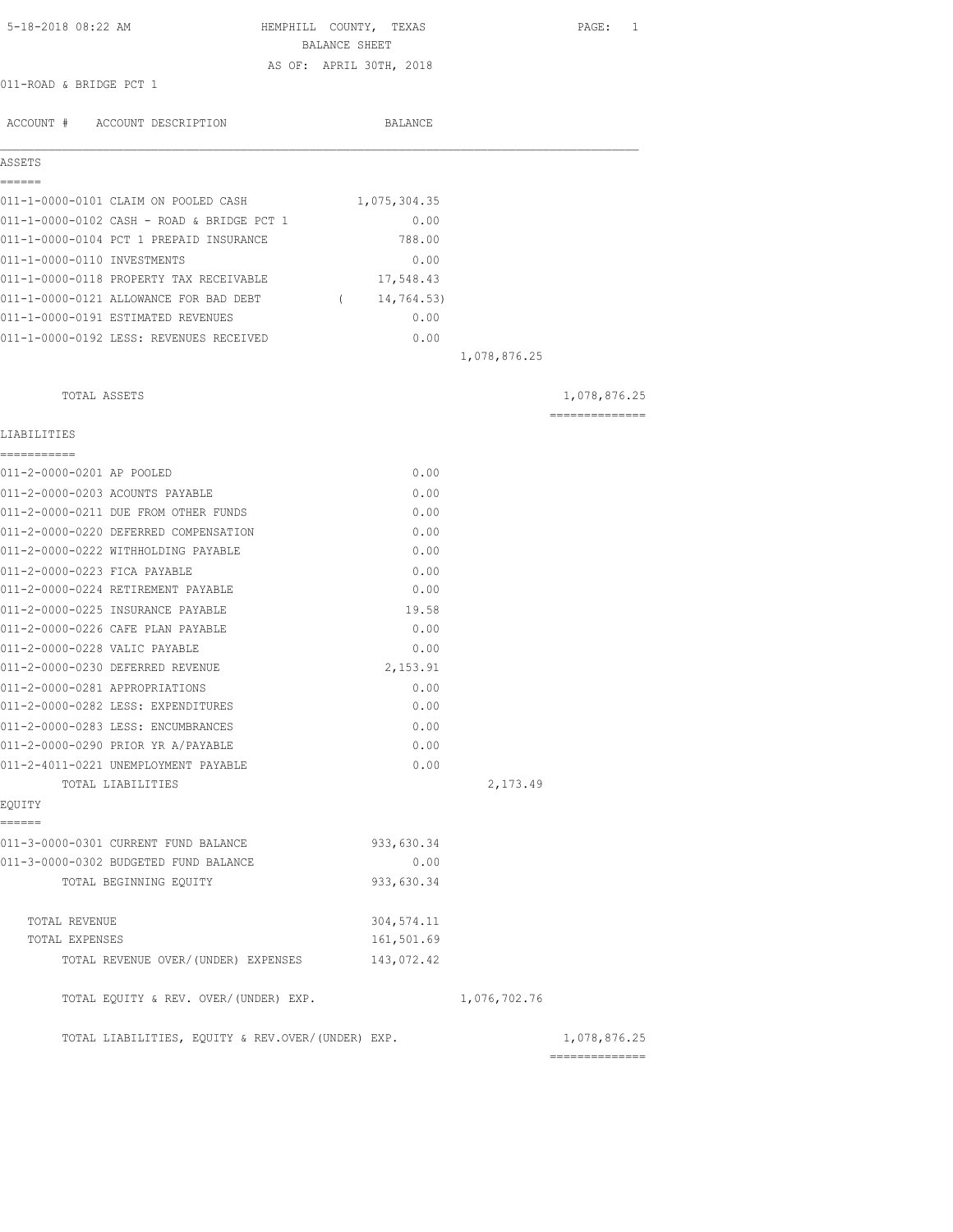| 5-18-2018 08:22 AM                                | HEMPHILL COUNTY, TEXAS<br>BALANCE SHEET |              | PAGE: 1                         |
|---------------------------------------------------|-----------------------------------------|--------------|---------------------------------|
|                                                   | AS OF: APRIL 30TH, 2018                 |              |                                 |
| 011-ROAD & BRIDGE PCT 1                           |                                         |              |                                 |
| ACCOUNT # ACCOUNT DESCRIPTION                     | BALANCE                                 |              |                                 |
| ASSETS                                            |                                         |              |                                 |
| ======<br>011-1-0000-0101 CLAIM ON POOLED CASH    | 1,075,304.35                            |              |                                 |
| 011-1-0000-0102 CASH - ROAD & BRIDGE PCT 1        | 0.00                                    |              |                                 |
| 011-1-0000-0104 PCT 1 PREPAID INSURANCE           | 788.00                                  |              |                                 |
| 011-1-0000-0110 INVESTMENTS                       | 0.00                                    |              |                                 |
| 011-1-0000-0118 PROPERTY TAX RECEIVABLE           | 17,548.43                               |              |                                 |
| 011-1-0000-0121 ALLOWANCE FOR BAD DEBT            | (14, 764.53)                            |              |                                 |
| 011-1-0000-0191 ESTIMATED REVENUES                | 0.00                                    |              |                                 |
| 011-1-0000-0192 LESS: REVENUES RECEIVED           | 0.00                                    |              |                                 |
|                                                   |                                         | 1,078,876.25 |                                 |
| TOTAL ASSETS                                      |                                         |              | 1,078,876.25                    |
|                                                   |                                         |              | --------------                  |
| LIABILITIES                                       |                                         |              |                                 |
| 011-2-0000-0201 AP POOLED                         | 0.00                                    |              |                                 |
| 011-2-0000-0203 ACOUNTS PAYABLE                   | 0.00                                    |              |                                 |
| 011-2-0000-0211 DUE FROM OTHER FUNDS              | 0.00                                    |              |                                 |
| 011-2-0000-0220 DEFERRED COMPENSATION             | 0.00                                    |              |                                 |
| 011-2-0000-0222 WITHHOLDING PAYABLE               | 0.00                                    |              |                                 |
| 011-2-0000-0223 FICA PAYABLE                      | 0.00                                    |              |                                 |
| 011-2-0000-0224 RETIREMENT PAYABLE                | 0.00                                    |              |                                 |
| 011-2-0000-0225 INSURANCE PAYABLE                 | 19.58                                   |              |                                 |
| 011-2-0000-0226 CAFE PLAN PAYABLE                 | 0.00                                    |              |                                 |
| 011-2-0000-0228 VALIC PAYABLE                     | 0.00                                    |              |                                 |
| 011-2-0000-0230 DEFERRED REVENUE                  | 2,153.91                                |              |                                 |
| 011-2-0000-0281 APPROPRIATIONS                    | 0.00                                    |              |                                 |
| 011-2-0000-0282 LESS: EXPENDITURES                | 0.00                                    |              |                                 |
| 011-2-0000-0283 LESS: ENCUMBRANCES                | 0.00                                    |              |                                 |
| 011-2-0000-0290 PRIOR YR A/PAYABLE                | 0.00                                    |              |                                 |
| 011-2-4011-0221 UNEMPLOYMENT PAYABLE              | 0.00                                    |              |                                 |
| TOTAL LIABILITIES<br>EQUITY                       |                                         | 2,173.49     |                                 |
| ======<br>011-3-0000-0301 CURRENT FUND BALANCE    | 933,630.34                              |              |                                 |
| 011-3-0000-0302 BUDGETED FUND BALANCE             | 0.00                                    |              |                                 |
| TOTAL BEGINNING EQUITY                            | 933,630.34                              |              |                                 |
|                                                   |                                         |              |                                 |
| TOTAL REVENUE                                     | 304, 574.11                             |              |                                 |
| TOTAL EXPENSES                                    | 161,501.69                              |              |                                 |
| TOTAL REVENUE OVER/ (UNDER) EXPENSES              | 143,072.42                              |              |                                 |
| TOTAL EQUITY & REV. OVER/(UNDER) EXP.             |                                         | 1,076,702.76 |                                 |
| TOTAL LIABILITIES, EQUITY & REV.OVER/(UNDER) EXP. |                                         |              | 1,078,876.25<br>--------------- |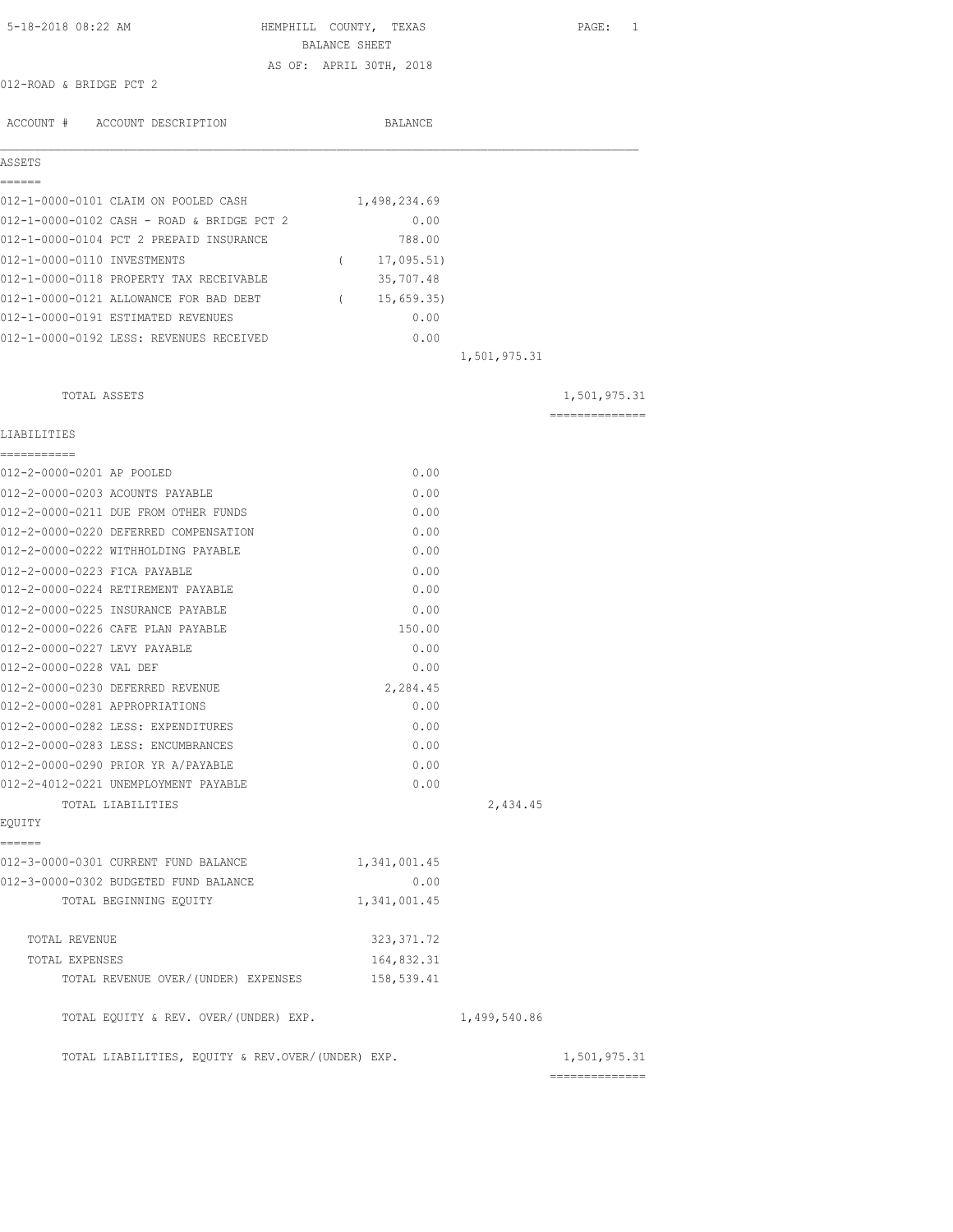| 5-18-2018 08:22 AM                                | HEMPHILL COUNTY, TEXAS<br>BALANCE SHEET |              | PAGE: 1                       |
|---------------------------------------------------|-----------------------------------------|--------------|-------------------------------|
|                                                   | AS OF: APRIL 30TH, 2018                 |              |                               |
| 012-ROAD & BRIDGE PCT 2                           |                                         |              |                               |
|                                                   |                                         |              |                               |
| ACCOUNT # ACCOUNT DESCRIPTION                     | BALANCE                                 |              |                               |
| ASSETS                                            |                                         |              |                               |
| ------                                            |                                         |              |                               |
| 012-1-0000-0101 CLAIM ON POOLED CASH              | 1,498,234.69                            |              |                               |
| 012-1-0000-0102 CASH - ROAD & BRIDGE PCT 2        | 0.00                                    |              |                               |
| 012-1-0000-0104 PCT 2 PREPAID INSURANCE           | 788.00                                  |              |                               |
| 012-1-0000-0110 INVESTMENTS                       | 17,095.51)<br>$\sqrt{2}$                |              |                               |
| 012-1-0000-0118 PROPERTY TAX RECEIVABLE           | 35,707.48                               |              |                               |
| 012-1-0000-0121 ALLOWANCE FOR BAD DEBT            | (15, 659.35)                            |              |                               |
| 012-1-0000-0191 ESTIMATED REVENUES                | 0.00                                    |              |                               |
| 012-1-0000-0192 LESS: REVENUES RECEIVED           | 0.00                                    |              |                               |
|                                                   |                                         | 1,501,975.31 |                               |
| TOTAL ASSETS                                      |                                         |              | 1,501,975.31                  |
|                                                   |                                         |              | ==============                |
| LIABILITIES<br>----------                         |                                         |              |                               |
| 012-2-0000-0201 AP POOLED                         | 0.00                                    |              |                               |
| 012-2-0000-0203 ACOUNTS PAYABLE                   | 0.00                                    |              |                               |
| 012-2-0000-0211 DUE FROM OTHER FUNDS              | 0.00                                    |              |                               |
| 012-2-0000-0220 DEFERRED COMPENSATION             | 0.00                                    |              |                               |
| 012-2-0000-0222 WITHHOLDING PAYABLE               | 0.00                                    |              |                               |
| 012-2-0000-0223 FICA PAYABLE                      | 0.00                                    |              |                               |
| 012-2-0000-0224 RETIREMENT PAYABLE                | 0.00                                    |              |                               |
| 012-2-0000-0225 INSURANCE PAYABLE                 | 0.00                                    |              |                               |
| 012-2-0000-0226 CAFE PLAN PAYABLE                 | 150.00                                  |              |                               |
| 012-2-0000-0227 LEVY PAYABLE                      | 0.00                                    |              |                               |
| 012-2-0000-0228 VAL DEF                           | 0.00                                    |              |                               |
| 012-2-0000-0230 DEFERRED REVENUE                  | 2,284.45                                |              |                               |
| 012-2-0000-0281 APPROPRIATIONS                    | 0.00                                    |              |                               |
| 012-2-0000-0282 LESS: EXPENDITURES                | 0.00                                    |              |                               |
| 012-2-0000-0283 LESS: ENCUMBRANCES                | 0.00                                    |              |                               |
| 012-2-0000-0290 PRIOR YR A/PAYABLE                | 0.00                                    |              |                               |
| 012-2-4012-0221 UNEMPLOYMENT PAYABLE              | 0.00                                    |              |                               |
| TOTAL LIABILITIES                                 |                                         | 2,434.45     |                               |
| EQUITY                                            |                                         |              |                               |
| ======                                            |                                         |              |                               |
| 012-3-0000-0301 CURRENT FUND BALANCE              | 1,341,001.45                            |              |                               |
| 012-3-0000-0302 BUDGETED FUND BALANCE             | 0.00                                    |              |                               |
| TOTAL BEGINNING EQUITY                            | 1,341,001.45                            |              |                               |
| TOTAL REVENUE                                     | 323, 371.72                             |              |                               |
| TOTAL EXPENSES                                    | 164,832.31                              |              |                               |
| TOTAL REVENUE OVER/(UNDER) EXPENSES               | 158,539.41                              |              |                               |
| TOTAL EQUITY & REV. OVER/(UNDER) EXP.             |                                         | 1,499,540.86 |                               |
| TOTAL LIABILITIES, EQUITY & REV.OVER/(UNDER) EXP. |                                         |              | 1,501,975.31<br>------------- |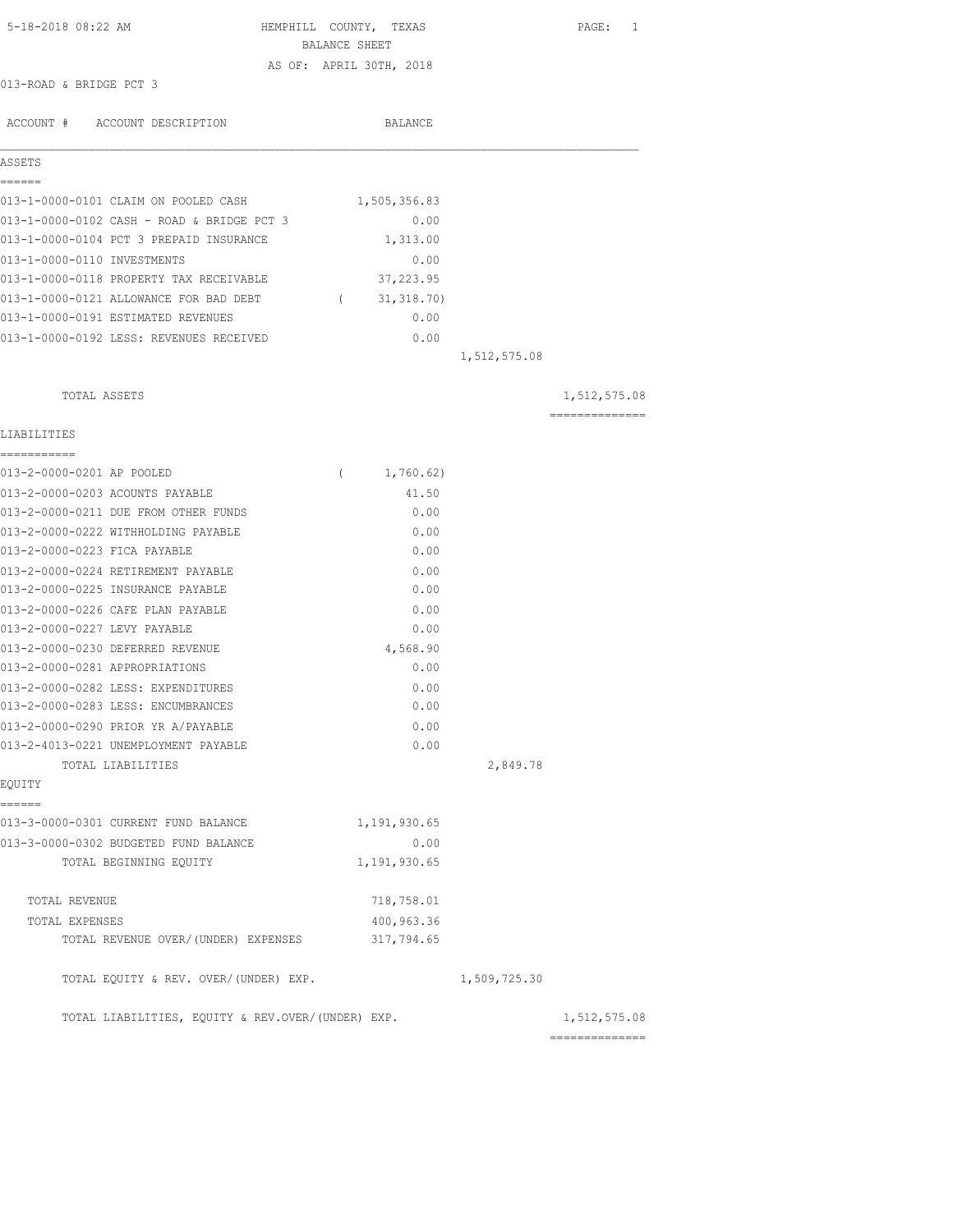| 5-18-2018 08:22 AM                                | HEMPHILL COUNTY, TEXAS  |              | PAGE: 1                        |
|---------------------------------------------------|-------------------------|--------------|--------------------------------|
|                                                   | BALANCE SHEET           |              |                                |
| 013-ROAD & BRIDGE PCT 3                           | AS OF: APRIL 30TH, 2018 |              |                                |
|                                                   |                         |              |                                |
| ACCOUNT # ACCOUNT DESCRIPTION                     | BALANCE                 |              |                                |
| ASSETS                                            |                         |              |                                |
| ======<br>013-1-0000-0101 CLAIM ON POOLED CASH    | 1,505,356.83            |              |                                |
| 013-1-0000-0102 CASH - ROAD & BRIDGE PCT 3        | 0.00                    |              |                                |
| 013-1-0000-0104 PCT 3 PREPAID INSURANCE           | 1,313.00                |              |                                |
| 013-1-0000-0110 INVESTMENTS                       | 0.00                    |              |                                |
| 013-1-0000-0118 PROPERTY TAX RECEIVABLE           | 37, 223.95              |              |                                |
| 013-1-0000-0121 ALLOWANCE FOR BAD DEBT            | (31, 318.70)            |              |                                |
| 013-1-0000-0191 ESTIMATED REVENUES                | 0.00                    |              |                                |
| 013-1-0000-0192 LESS: REVENUES RECEIVED           | 0.00                    |              |                                |
|                                                   |                         | 1,512,575.08 |                                |
| TOTAL ASSETS                                      |                         |              | 1,512,575.08                   |
| LIABILITIES                                       |                         |              | ==============                 |
| ===========                                       |                         |              |                                |
| 013-2-0000-0201 AP POOLED                         | 1,760.62)<br>$\left($   |              |                                |
| 013-2-0000-0203 ACOUNTS PAYABLE                   | 41.50                   |              |                                |
| 013-2-0000-0211 DUE FROM OTHER FUNDS              | 0.00                    |              |                                |
| 013-2-0000-0222 WITHHOLDING PAYABLE               | 0.00                    |              |                                |
| 013-2-0000-0223 FICA PAYABLE                      | 0.00                    |              |                                |
| 013-2-0000-0224 RETIREMENT PAYABLE                | 0.00                    |              |                                |
| 013-2-0000-0225 INSURANCE PAYABLE                 | 0.00                    |              |                                |
| 013-2-0000-0226 CAFE PLAN PAYABLE                 | 0.00                    |              |                                |
| 013-2-0000-0227 LEVY PAYABLE                      | 0.00                    |              |                                |
| 013-2-0000-0230 DEFERRED REVENUE                  | 4,568.90                |              |                                |
| 013-2-0000-0281 APPROPRIATIONS                    | 0.00                    |              |                                |
| 013-2-0000-0282 LESS: EXPENDITURES                | 0.00                    |              |                                |
| 013-2-0000-0283 LESS: ENCUMBRANCES                | 0.00                    |              |                                |
| 013-2-0000-0290 PRIOR YR A/PAYABLE                | 0.00                    |              |                                |
| 013-2-4013-0221 UNEMPLOYMENT PAYABLE              | 0.00                    |              |                                |
| TOTAL LIABILITIES                                 |                         | 2,849.78     |                                |
| EQUITY<br>======                                  |                         |              |                                |
| 013-3-0000-0301 CURRENT FUND BALANCE              | 1,191,930.65            |              |                                |
| 013-3-0000-0302 BUDGETED FUND BALANCE             | 0.00                    |              |                                |
| TOTAL BEGINNING EQUITY                            | 1,191,930.65            |              |                                |
| TOTAL REVENUE                                     | 718,758.01              |              |                                |
| TOTAL EXPENSES                                    | 400,963.36              |              |                                |
| TOTAL REVENUE OVER/(UNDER) EXPENSES               | 317,794.65              |              |                                |
| TOTAL EQUITY & REV. OVER/(UNDER) EXP.             |                         | 1,509,725.30 |                                |
| TOTAL LIABILITIES, EQUITY & REV.OVER/(UNDER) EXP. |                         |              | 1,512,575.08<br>============== |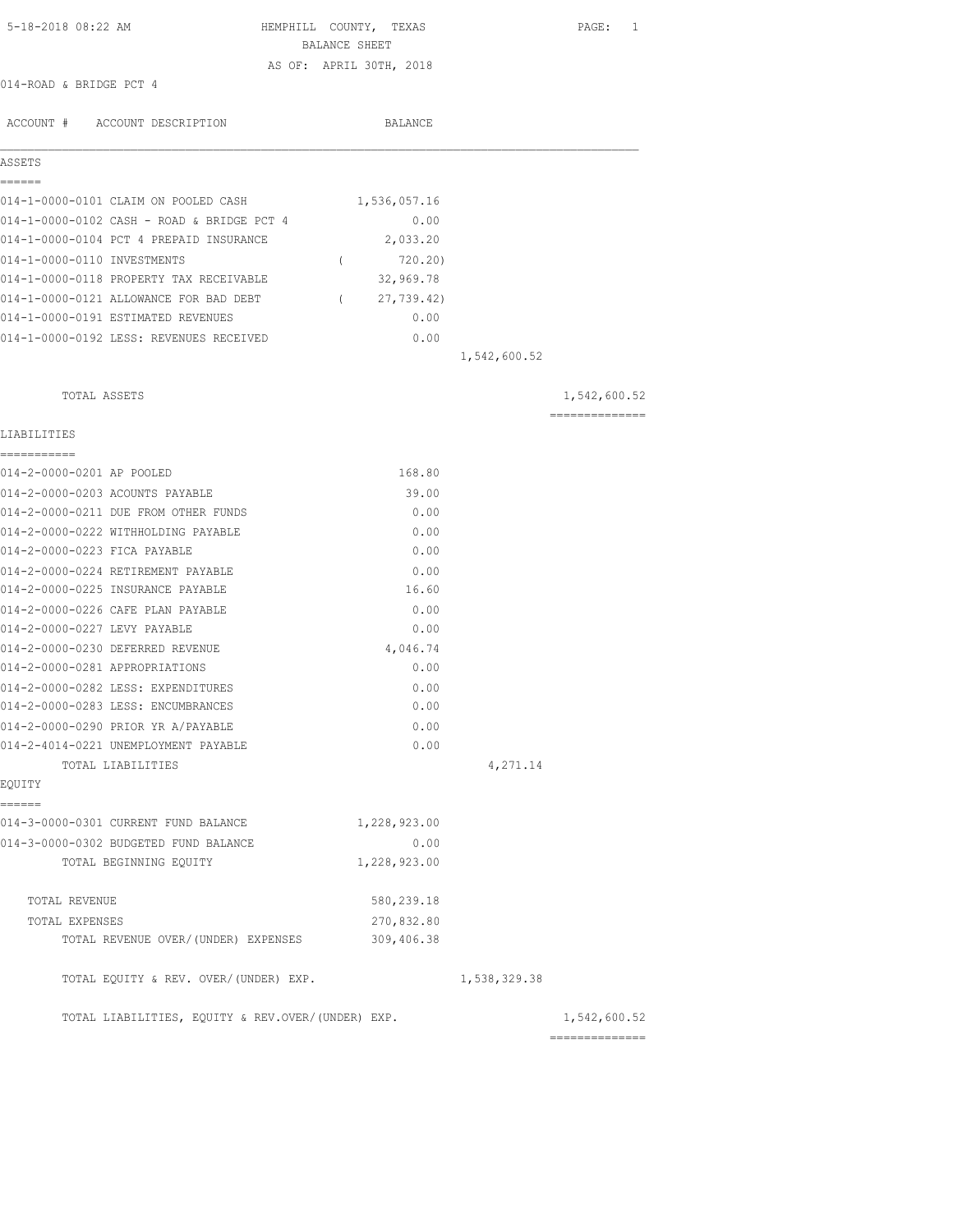| 5-18-2018 08:22 AM                                | HEMPHILL COUNTY, TEXAS  |              | PAGE: 1                                                                                                                                                                                                                                                                                                                                                                                                                                                                                |
|---------------------------------------------------|-------------------------|--------------|----------------------------------------------------------------------------------------------------------------------------------------------------------------------------------------------------------------------------------------------------------------------------------------------------------------------------------------------------------------------------------------------------------------------------------------------------------------------------------------|
|                                                   | BALANCE SHEET           |              |                                                                                                                                                                                                                                                                                                                                                                                                                                                                                        |
| 014-ROAD & BRIDGE PCT 4                           | AS OF: APRIL 30TH, 2018 |              |                                                                                                                                                                                                                                                                                                                                                                                                                                                                                        |
|                                                   |                         |              |                                                                                                                                                                                                                                                                                                                                                                                                                                                                                        |
| ACCOUNT # ACCOUNT DESCRIPTION                     | BALANCE                 |              |                                                                                                                                                                                                                                                                                                                                                                                                                                                                                        |
|                                                   |                         |              |                                                                                                                                                                                                                                                                                                                                                                                                                                                                                        |
| ASSETS                                            |                         |              |                                                                                                                                                                                                                                                                                                                                                                                                                                                                                        |
| ------                                            |                         |              |                                                                                                                                                                                                                                                                                                                                                                                                                                                                                        |
| 014-1-0000-0101 CLAIM ON POOLED CASH              | 1,536,057.16            |              |                                                                                                                                                                                                                                                                                                                                                                                                                                                                                        |
| 014-1-0000-0102 CASH - ROAD & BRIDGE PCT 4        | 0.00                    |              |                                                                                                                                                                                                                                                                                                                                                                                                                                                                                        |
| 014-1-0000-0104 PCT 4 PREPAID INSURANCE           | 2,033.20                |              |                                                                                                                                                                                                                                                                                                                                                                                                                                                                                        |
| 014-1-0000-0110 INVESTMENTS                       | 720.20)<br>$\left($     |              |                                                                                                                                                                                                                                                                                                                                                                                                                                                                                        |
| 014-1-0000-0118 PROPERTY TAX RECEIVABLE           | 32,969.78               |              |                                                                                                                                                                                                                                                                                                                                                                                                                                                                                        |
| 014-1-0000-0121 ALLOWANCE FOR BAD DEBT            | (27, 739.42)            |              |                                                                                                                                                                                                                                                                                                                                                                                                                                                                                        |
| 014-1-0000-0191 ESTIMATED REVENUES                | 0.00                    |              |                                                                                                                                                                                                                                                                                                                                                                                                                                                                                        |
| 014-1-0000-0192 LESS: REVENUES RECEIVED           | 0.00                    |              |                                                                                                                                                                                                                                                                                                                                                                                                                                                                                        |
|                                                   |                         | 1,542,600.52 |                                                                                                                                                                                                                                                                                                                                                                                                                                                                                        |
|                                                   |                         |              |                                                                                                                                                                                                                                                                                                                                                                                                                                                                                        |
| TOTAL ASSETS                                      |                         |              | 1,542,600.52                                                                                                                                                                                                                                                                                                                                                                                                                                                                           |
|                                                   |                         |              | $\begin{array}{cccccccccccccc} \multicolumn{2}{c}{} & \multicolumn{2}{c}{} & \multicolumn{2}{c}{} & \multicolumn{2}{c}{} & \multicolumn{2}{c}{} & \multicolumn{2}{c}{} & \multicolumn{2}{c}{} & \multicolumn{2}{c}{} & \multicolumn{2}{c}{} & \multicolumn{2}{c}{} & \multicolumn{2}{c}{} & \multicolumn{2}{c}{} & \multicolumn{2}{c}{} & \multicolumn{2}{c}{} & \multicolumn{2}{c}{} & \multicolumn{2}{c}{} & \multicolumn{2}{c}{} & \multicolumn{2}{c}{} & \multicolumn{2}{c}{} & \$ |
| LIABILITIES                                       |                         |              |                                                                                                                                                                                                                                                                                                                                                                                                                                                                                        |
| -----------                                       |                         |              |                                                                                                                                                                                                                                                                                                                                                                                                                                                                                        |
| 014-2-0000-0201 AP POOLED                         | 168.80                  |              |                                                                                                                                                                                                                                                                                                                                                                                                                                                                                        |
| 014-2-0000-0203 ACOUNTS PAYABLE                   | 39.00                   |              |                                                                                                                                                                                                                                                                                                                                                                                                                                                                                        |
| 014-2-0000-0211 DUE FROM OTHER FUNDS              | 0.00                    |              |                                                                                                                                                                                                                                                                                                                                                                                                                                                                                        |
| 014-2-0000-0222 WITHHOLDING PAYABLE               | 0.00                    |              |                                                                                                                                                                                                                                                                                                                                                                                                                                                                                        |
| 014-2-0000-0223 FICA PAYABLE                      | 0.00                    |              |                                                                                                                                                                                                                                                                                                                                                                                                                                                                                        |
| 014-2-0000-0224 RETIREMENT PAYABLE                | 0.00                    |              |                                                                                                                                                                                                                                                                                                                                                                                                                                                                                        |
| 014-2-0000-0225 INSURANCE PAYABLE                 | 16.60                   |              |                                                                                                                                                                                                                                                                                                                                                                                                                                                                                        |
| 014-2-0000-0226 CAFE PLAN PAYABLE                 | 0.00                    |              |                                                                                                                                                                                                                                                                                                                                                                                                                                                                                        |
| 014-2-0000-0227 LEVY PAYABLE                      | 0.00                    |              |                                                                                                                                                                                                                                                                                                                                                                                                                                                                                        |
| 014-2-0000-0230 DEFERRED REVENUE                  | 4,046.74                |              |                                                                                                                                                                                                                                                                                                                                                                                                                                                                                        |
| 014-2-0000-0281 APPROPRIATIONS                    | 0.00                    |              |                                                                                                                                                                                                                                                                                                                                                                                                                                                                                        |
| 014-2-0000-0282 LESS: EXPENDITURES                | 0.00                    |              |                                                                                                                                                                                                                                                                                                                                                                                                                                                                                        |
| 014-2-0000-0283 LESS: ENCUMBRANCES                | 0.00                    |              |                                                                                                                                                                                                                                                                                                                                                                                                                                                                                        |
| 014-2-0000-0290 PRIOR YR A/PAYABLE                | 0.00                    |              |                                                                                                                                                                                                                                                                                                                                                                                                                                                                                        |
| 014-2-4014-0221 UNEMPLOYMENT PAYABLE              | 0.00                    |              |                                                                                                                                                                                                                                                                                                                                                                                                                                                                                        |
| TOTAL LIABILITIES                                 |                         | 4,271.14     |                                                                                                                                                                                                                                                                                                                                                                                                                                                                                        |
| EQUITY                                            |                         |              |                                                                                                                                                                                                                                                                                                                                                                                                                                                                                        |
| ======                                            |                         |              |                                                                                                                                                                                                                                                                                                                                                                                                                                                                                        |
| 014-3-0000-0301 CURRENT FUND BALANCE              | 1,228,923.00            |              |                                                                                                                                                                                                                                                                                                                                                                                                                                                                                        |
| 014-3-0000-0302 BUDGETED FUND BALANCE             | 0.00                    |              |                                                                                                                                                                                                                                                                                                                                                                                                                                                                                        |
| TOTAL BEGINNING EQUITY                            | 1,228,923.00            |              |                                                                                                                                                                                                                                                                                                                                                                                                                                                                                        |
| TOTAL REVENUE                                     | 580,239.18              |              |                                                                                                                                                                                                                                                                                                                                                                                                                                                                                        |
| TOTAL EXPENSES                                    | 270,832.80              |              |                                                                                                                                                                                                                                                                                                                                                                                                                                                                                        |
| TOTAL REVENUE OVER/ (UNDER) EXPENSES              | 309,406.38              |              |                                                                                                                                                                                                                                                                                                                                                                                                                                                                                        |
|                                                   |                         |              |                                                                                                                                                                                                                                                                                                                                                                                                                                                                                        |
| TOTAL EQUITY & REV. OVER/(UNDER) EXP.             |                         | 1,538,329.38 |                                                                                                                                                                                                                                                                                                                                                                                                                                                                                        |
|                                                   |                         |              |                                                                                                                                                                                                                                                                                                                                                                                                                                                                                        |
| TOTAL LIABILITIES, EQUITY & REV.OVER/(UNDER) EXP. |                         |              | 1,542,600.52                                                                                                                                                                                                                                                                                                                                                                                                                                                                           |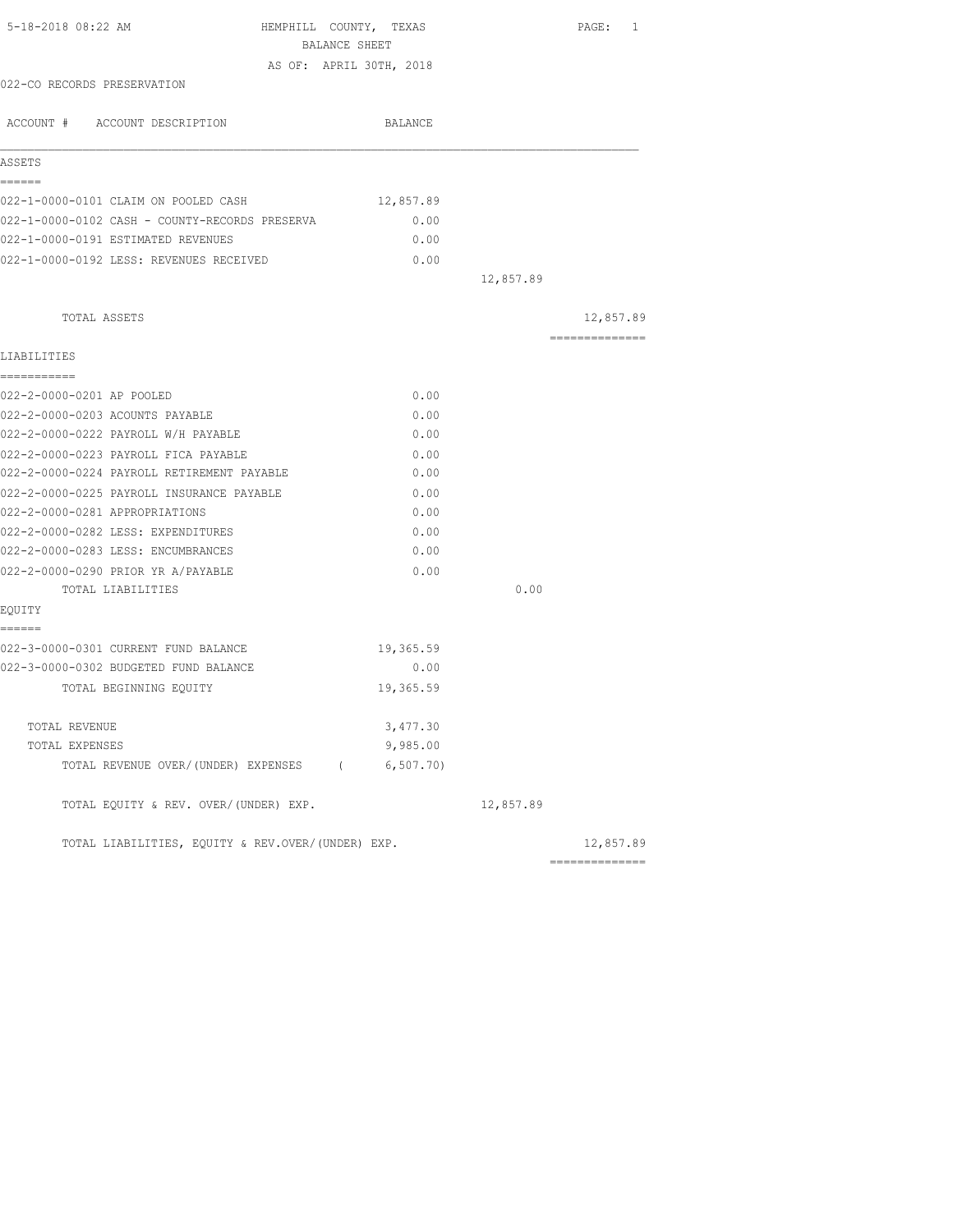| 5-18-2018 08:22 AM                                | HEMPHILL COUNTY, TEXAS<br>BALANCE SHEET |           | PAGE: 1        |
|---------------------------------------------------|-----------------------------------------|-----------|----------------|
|                                                   | AS OF: APRIL 30TH, 2018                 |           |                |
| 022-CO RECORDS PRESERVATION                       |                                         |           |                |
|                                                   |                                         |           |                |
| ACCOUNT # ACCOUNT DESCRIPTION                     | BALANCE                                 |           |                |
| ASSETS                                            |                                         |           |                |
| ======                                            |                                         |           |                |
| 022-1-0000-0101 CLAIM ON POOLED CASH              | 12,857.89                               |           |                |
| 022-1-0000-0102 CASH - COUNTY-RECORDS PRESERVA    | 0.00                                    |           |                |
| 022-1-0000-0191 ESTIMATED REVENUES                | 0.00                                    |           |                |
| 022-1-0000-0192 LESS: REVENUES RECEIVED           | 0.00                                    |           |                |
|                                                   |                                         | 12,857.89 |                |
| TOTAL ASSETS                                      |                                         |           | 12,857.89      |
| LIABILITIES                                       |                                         |           | ============== |
| ===========                                       |                                         |           |                |
| 022-2-0000-0201 AP POOLED                         | 0.00                                    |           |                |
| 022-2-0000-0203 ACOUNTS PAYABLE                   | 0.00                                    |           |                |
| 022-2-0000-0222 PAYROLL W/H PAYABLE               | 0.00                                    |           |                |
| 022-2-0000-0223 PAYROLL FICA PAYABLE              | 0.00                                    |           |                |
| 022-2-0000-0224 PAYROLL RETIREMENT PAYABLE        | 0.00                                    |           |                |
| 022-2-0000-0225 PAYROLL INSURANCE PAYABLE         | 0.00                                    |           |                |
| 022-2-0000-0281 APPROPRIATIONS                    | 0.00                                    |           |                |
| 022-2-0000-0282 LESS: EXPENDITURES                | 0.00                                    |           |                |
| 022-2-0000-0283 LESS: ENCUMBRANCES                | 0.00                                    |           |                |
| 022-2-0000-0290 PRIOR YR A/PAYABLE                | 0.00                                    |           |                |
| TOTAL LIABILITIES                                 |                                         | 0.00      |                |
| EOUITY                                            |                                         |           |                |
| ======<br>022-3-0000-0301 CURRENT FUND BALANCE    | 19,365.59                               |           |                |
| 022-3-0000-0302 BUDGETED FUND BALANCE             | 0.00                                    |           |                |
| TOTAL BEGINNING EOUITY                            | 19,365.59                               |           |                |
|                                                   |                                         |           |                |
| TOTAL REVENUE                                     | 3,477.30                                |           |                |
| TOTAL EXPENSES                                    | 9,985.00                                |           |                |
| TOTAL REVENUE OVER/(UNDER) EXPENSES (6,507.70)    |                                         |           |                |
| TOTAL EQUITY & REV. OVER/(UNDER) EXP.             |                                         | 12,857.89 |                |
| TOTAL LIABILITIES, EQUITY & REV.OVER/(UNDER) EXP. |                                         |           | 12,857.89      |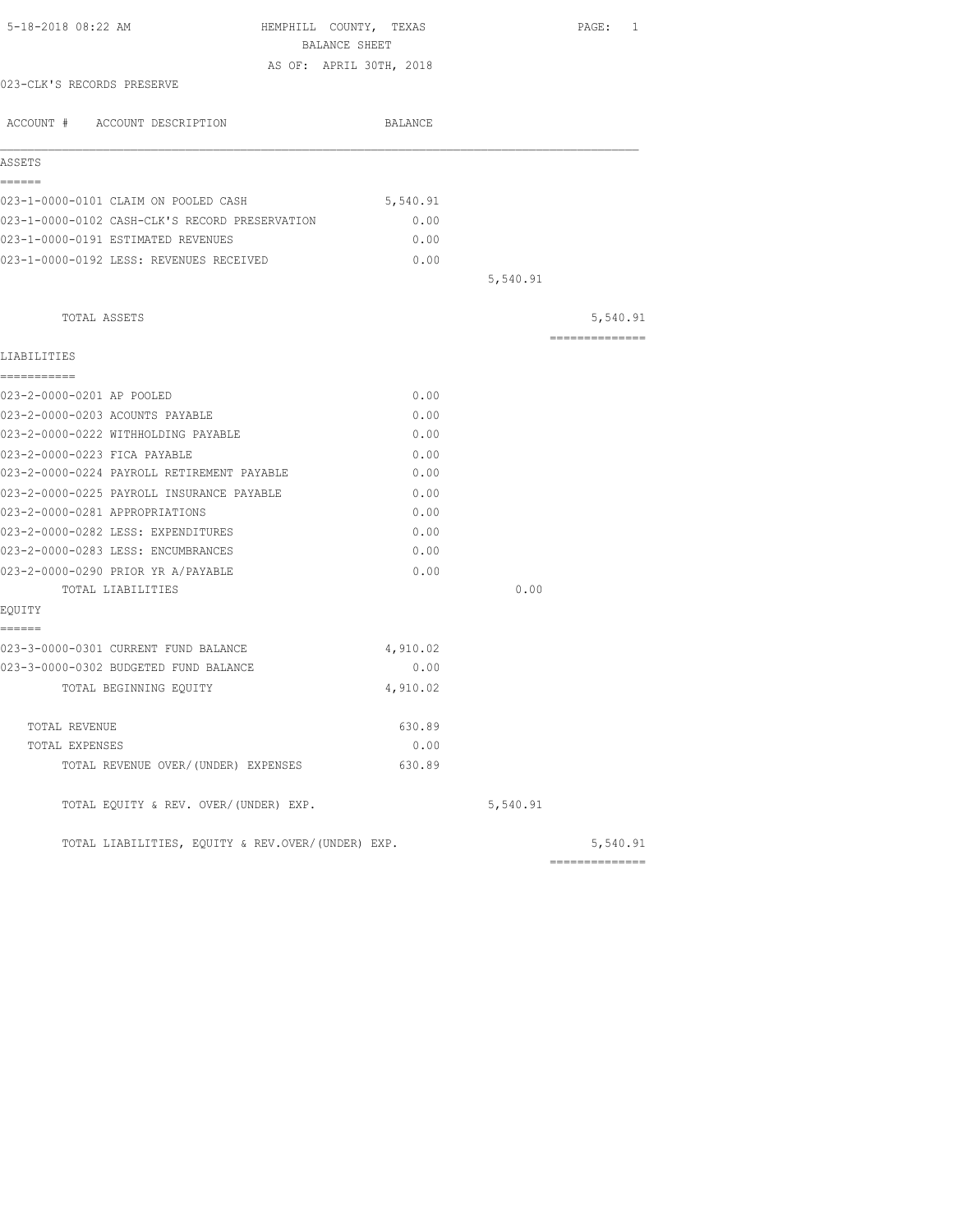| 5-18-2018 08:22 AM                                | HEMPHILL COUNTY, TEXAS  |          | PAGE: 1        |
|---------------------------------------------------|-------------------------|----------|----------------|
|                                                   | BALANCE SHEET           |          |                |
|                                                   | AS OF: APRIL 30TH, 2018 |          |                |
| 023-CLK'S RECORDS PRESERVE                        |                         |          |                |
| ACCOUNT # ACCOUNT DESCRIPTION                     | BALANCE                 |          |                |
| ASSETS                                            |                         |          |                |
| ------                                            |                         |          |                |
| 023-1-0000-0101 CLAIM ON POOLED CASH              | 5,540.91                |          |                |
| 023-1-0000-0102 CASH-CLK'S RECORD PRESERVATION    | 0.00                    |          |                |
| 023-1-0000-0191 ESTIMATED REVENUES                | 0.00                    |          |                |
| 023-1-0000-0192 LESS: REVENUES RECEIVED           | 0.00                    |          |                |
|                                                   |                         | 5,540.91 |                |
| TOTAL ASSETS                                      |                         |          | 5,540.91       |
| LIABILITIES                                       |                         |          | -------------- |
| ===========                                       |                         |          |                |
| 023-2-0000-0201 AP POOLED                         | 0.00                    |          |                |
| 023-2-0000-0203 ACOUNTS PAYABLE                   | 0.00                    |          |                |
| 023-2-0000-0222 WITHHOLDING PAYABLE               | 0.00                    |          |                |
| 023-2-0000-0223 FICA PAYABLE                      | 0.00                    |          |                |
| 023-2-0000-0224 PAYROLL RETIREMENT PAYABLE        | 0.00                    |          |                |
| 023-2-0000-0225 PAYROLL INSURANCE PAYABLE         | 0.00                    |          |                |
| 023-2-0000-0281 APPROPRIATIONS                    | 0.00                    |          |                |
| 023-2-0000-0282 LESS: EXPENDITURES                | 0.00                    |          |                |
| 023-2-0000-0283 LESS: ENCUMBRANCES                | 0.00                    |          |                |
| 023-2-0000-0290 PRIOR YR A/PAYABLE                | 0.00                    |          |                |
| TOTAL LIABILITIES                                 |                         | 0.00     |                |
| EOUITY                                            |                         |          |                |
| ======                                            |                         |          |                |
| 023-3-0000-0301 CURRENT FUND BALANCE              | 4,910.02                |          |                |
| 023-3-0000-0302 BUDGETED FUND BALANCE             | 0.00                    |          |                |
| TOTAL BEGINNING EOUITY                            | 4,910.02                |          |                |
| TOTAL REVENUE                                     | 630.89                  |          |                |
| TOTAL EXPENSES                                    | 0.00                    |          |                |
| TOTAL REVENUE OVER/(UNDER) EXPENSES               | 630.89                  |          |                |
| TOTAL EQUITY & REV. OVER/(UNDER) EXP.             |                         | 5,540.91 |                |
| TOTAL LIABILITIES, EQUITY & REV.OVER/(UNDER) EXP. |                         |          | 5,540.91       |
|                                                   |                         |          | ============== |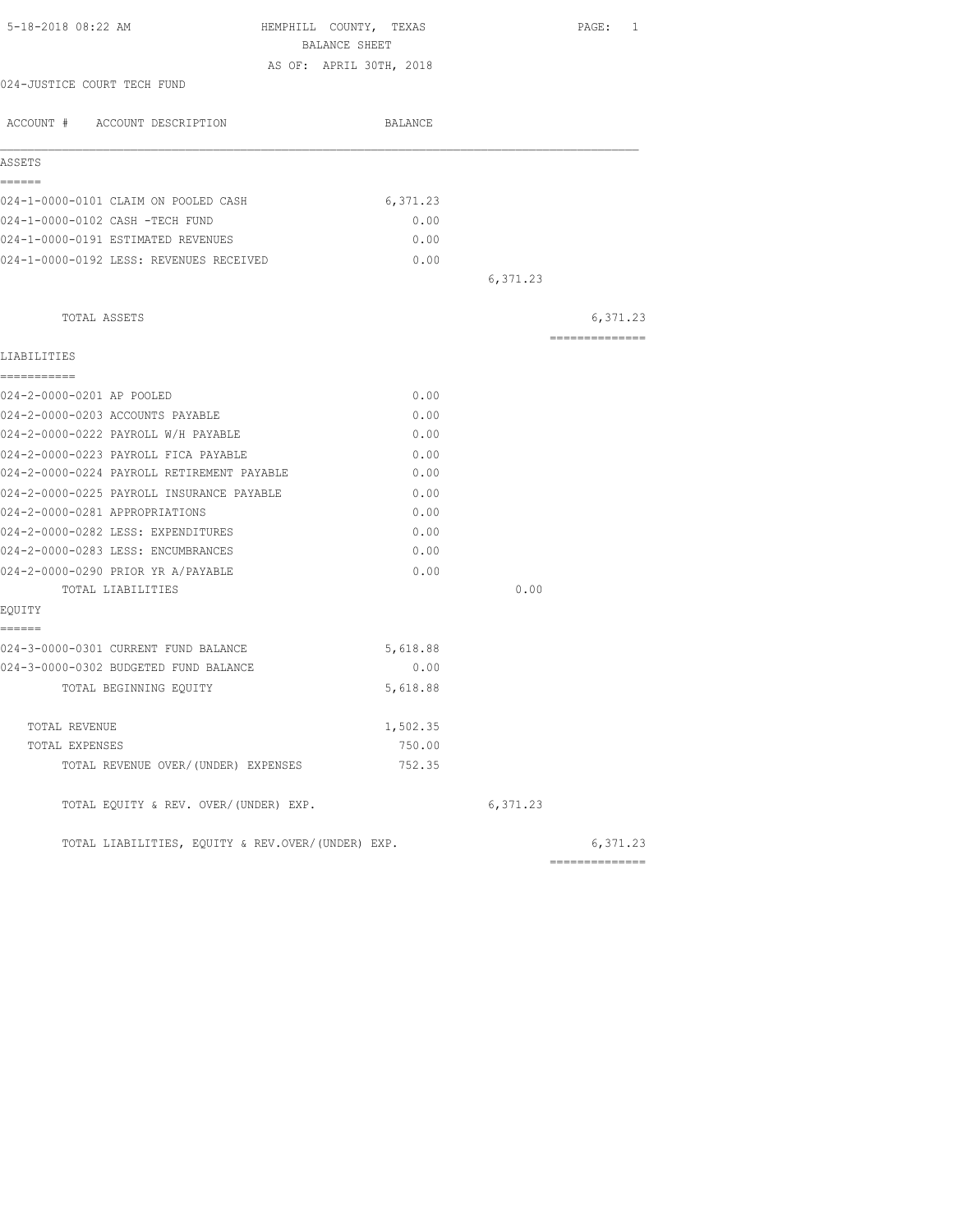| 5-18-2018 08:22 AM<br>HEMPHILL COUNTY, TEXAS<br>BALANCE SHEET |          |          | PAGE: 1        |
|---------------------------------------------------------------|----------|----------|----------------|
|                                                               |          |          |                |
| AS OF: APRIL 30TH, 2018<br>024-JUSTICE COURT TECH FUND        |          |          |                |
|                                                               |          |          |                |
| ACCOUNT # ACCOUNT DESCRIPTION                                 | BALANCE  |          |                |
| ASSETS                                                        |          |          |                |
| ------                                                        |          |          |                |
| 024-1-0000-0101 CLAIM ON POOLED CASH                          | 6,371.23 |          |                |
| 024-1-0000-0102 CASH -TECH FUND                               | 0.00     |          |                |
| 024-1-0000-0191 ESTIMATED REVENUES                            | 0.00     |          |                |
| 024-1-0000-0192 LESS: REVENUES RECEIVED                       | 0.00     |          |                |
|                                                               |          | 6,371.23 |                |
| TOTAL ASSETS                                                  |          |          | 6,371.23       |
| LIABILITIES                                                   |          |          | ============== |
| ===========                                                   |          |          |                |
| 024-2-0000-0201 AP POOLED                                     | 0.00     |          |                |
| 024-2-0000-0203 ACCOUNTS PAYABLE                              | 0.00     |          |                |
| 024-2-0000-0222 PAYROLL W/H PAYABLE                           | 0.00     |          |                |
| 024-2-0000-0223 PAYROLL FICA PAYABLE                          | 0.00     |          |                |
| 024-2-0000-0224 PAYROLL RETIREMENT PAYABLE                    | 0.00     |          |                |
| 024-2-0000-0225 PAYROLL INSURANCE PAYABLE                     | 0.00     |          |                |
| 024-2-0000-0281 APPROPRIATIONS                                | 0.00     |          |                |
| 024-2-0000-0282 LESS: EXPENDITURES                            | 0.00     |          |                |
| 024-2-0000-0283 LESS: ENCUMBRANCES                            | 0.00     |          |                |
| 024-2-0000-0290 PRIOR YR A/PAYABLE                            | 0.00     |          |                |
| TOTAL LIABILITIES                                             |          | 0.00     |                |
| EOUITY                                                        |          |          |                |
| ======                                                        |          |          |                |
| 024-3-0000-0301 CURRENT FUND BALANCE                          | 5,618.88 |          |                |
| 024-3-0000-0302 BUDGETED FUND BALANCE                         | 0.00     |          |                |
| TOTAL BEGINNING EQUITY                                        | 5,618.88 |          |                |
| TOTAL REVENUE                                                 | 1,502.35 |          |                |
| TOTAL EXPENSES                                                | 750.00   |          |                |
| TOTAL REVENUE OVER/(UNDER) EXPENSES                           | 752.35   |          |                |
| TOTAL EQUITY & REV. OVER/(UNDER) EXP.                         |          | 6,371.23 |                |
| TOTAL LIABILITIES, EQUITY & REV.OVER/(UNDER) EXP.             |          |          | 6,371.23       |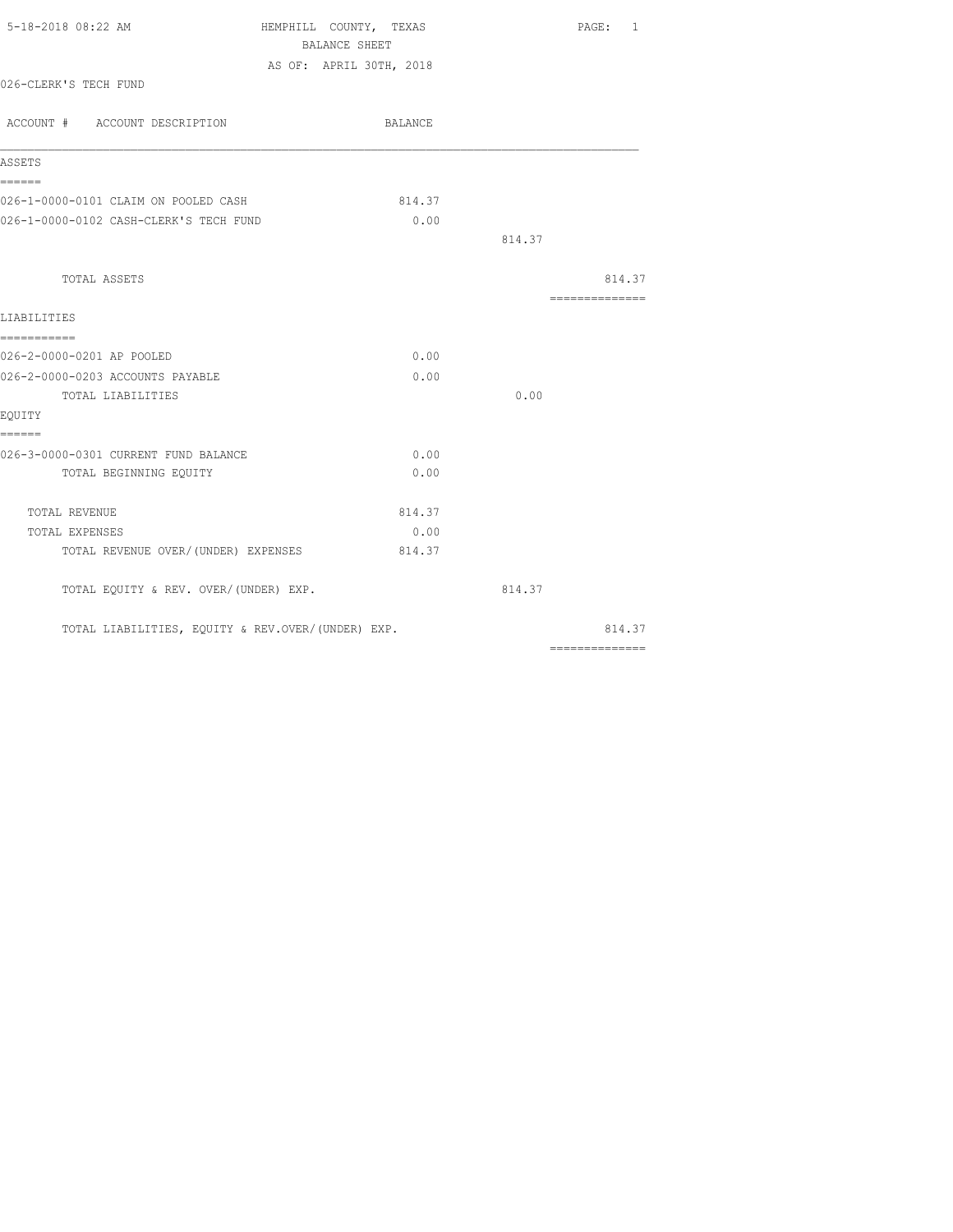| 5-18-2018 08:22 AM                                | HEMPHILL COUNTY, TEXAS  |        | PAGE: 1                                                                                                                                                                                                                                                                                                                                                                                                                                                                                |
|---------------------------------------------------|-------------------------|--------|----------------------------------------------------------------------------------------------------------------------------------------------------------------------------------------------------------------------------------------------------------------------------------------------------------------------------------------------------------------------------------------------------------------------------------------------------------------------------------------|
|                                                   | BALANCE SHEET           |        |                                                                                                                                                                                                                                                                                                                                                                                                                                                                                        |
|                                                   | AS OF: APRIL 30TH, 2018 |        |                                                                                                                                                                                                                                                                                                                                                                                                                                                                                        |
| 026-CLERK'S TECH FUND                             |                         |        |                                                                                                                                                                                                                                                                                                                                                                                                                                                                                        |
| ACCOUNT # ACCOUNT DESCRIPTION                     | BALANCE                 |        |                                                                                                                                                                                                                                                                                                                                                                                                                                                                                        |
| ASSETS                                            |                         |        |                                                                                                                                                                                                                                                                                                                                                                                                                                                                                        |
| ======                                            |                         |        |                                                                                                                                                                                                                                                                                                                                                                                                                                                                                        |
| 026-1-0000-0101 CLAIM ON POOLED CASH              | 814.37                  |        |                                                                                                                                                                                                                                                                                                                                                                                                                                                                                        |
| 026-1-0000-0102 CASH-CLERK'S TECH FUND            | 0.00                    |        |                                                                                                                                                                                                                                                                                                                                                                                                                                                                                        |
|                                                   |                         | 814.37 |                                                                                                                                                                                                                                                                                                                                                                                                                                                                                        |
| TOTAL ASSETS                                      |                         |        | 814.37                                                                                                                                                                                                                                                                                                                                                                                                                                                                                 |
| LIABILITIES                                       |                         |        | $\begin{array}{cccccccccc} \multicolumn{2}{c}{} & \multicolumn{2}{c}{} & \multicolumn{2}{c}{} & \multicolumn{2}{c}{} & \multicolumn{2}{c}{} & \multicolumn{2}{c}{} & \multicolumn{2}{c}{} & \multicolumn{2}{c}{} & \multicolumn{2}{c}{} & \multicolumn{2}{c}{} & \multicolumn{2}{c}{} & \multicolumn{2}{c}{} & \multicolumn{2}{c}{} & \multicolumn{2}{c}{} & \multicolumn{2}{c}{} & \multicolumn{2}{c}{} & \multicolumn{2}{c}{} & \multicolumn{2}{c}{} & \multicolumn{2}{c}{} & \mult$ |
| ===========<br>026-2-0000-0201 AP POOLED          | 0.00                    |        |                                                                                                                                                                                                                                                                                                                                                                                                                                                                                        |
| 026-2-0000-0203 ACCOUNTS PAYABLE                  | 0.00                    |        |                                                                                                                                                                                                                                                                                                                                                                                                                                                                                        |
| TOTAL LIABILITIES                                 |                         | 0.00   |                                                                                                                                                                                                                                                                                                                                                                                                                                                                                        |
| EQUITY                                            |                         |        |                                                                                                                                                                                                                                                                                                                                                                                                                                                                                        |
| ======                                            |                         |        |                                                                                                                                                                                                                                                                                                                                                                                                                                                                                        |
| 026-3-0000-0301 CURRENT FUND BALANCE              | 0.00                    |        |                                                                                                                                                                                                                                                                                                                                                                                                                                                                                        |
| TOTAL BEGINNING EQUITY                            | 0.00                    |        |                                                                                                                                                                                                                                                                                                                                                                                                                                                                                        |
| TOTAL REVENUE                                     | 814.37                  |        |                                                                                                                                                                                                                                                                                                                                                                                                                                                                                        |
| TOTAL EXPENSES                                    | 0.00                    |        |                                                                                                                                                                                                                                                                                                                                                                                                                                                                                        |
| TOTAL REVENUE OVER/(UNDER) EXPENSES               | 814.37                  |        |                                                                                                                                                                                                                                                                                                                                                                                                                                                                                        |
| TOTAL EQUITY & REV. OVER/(UNDER) EXP.             |                         | 814.37 |                                                                                                                                                                                                                                                                                                                                                                                                                                                                                        |
| TOTAL LIABILITIES, EQUITY & REV.OVER/(UNDER) EXP. |                         |        | 814.37                                                                                                                                                                                                                                                                                                                                                                                                                                                                                 |
|                                                   |                         |        |                                                                                                                                                                                                                                                                                                                                                                                                                                                                                        |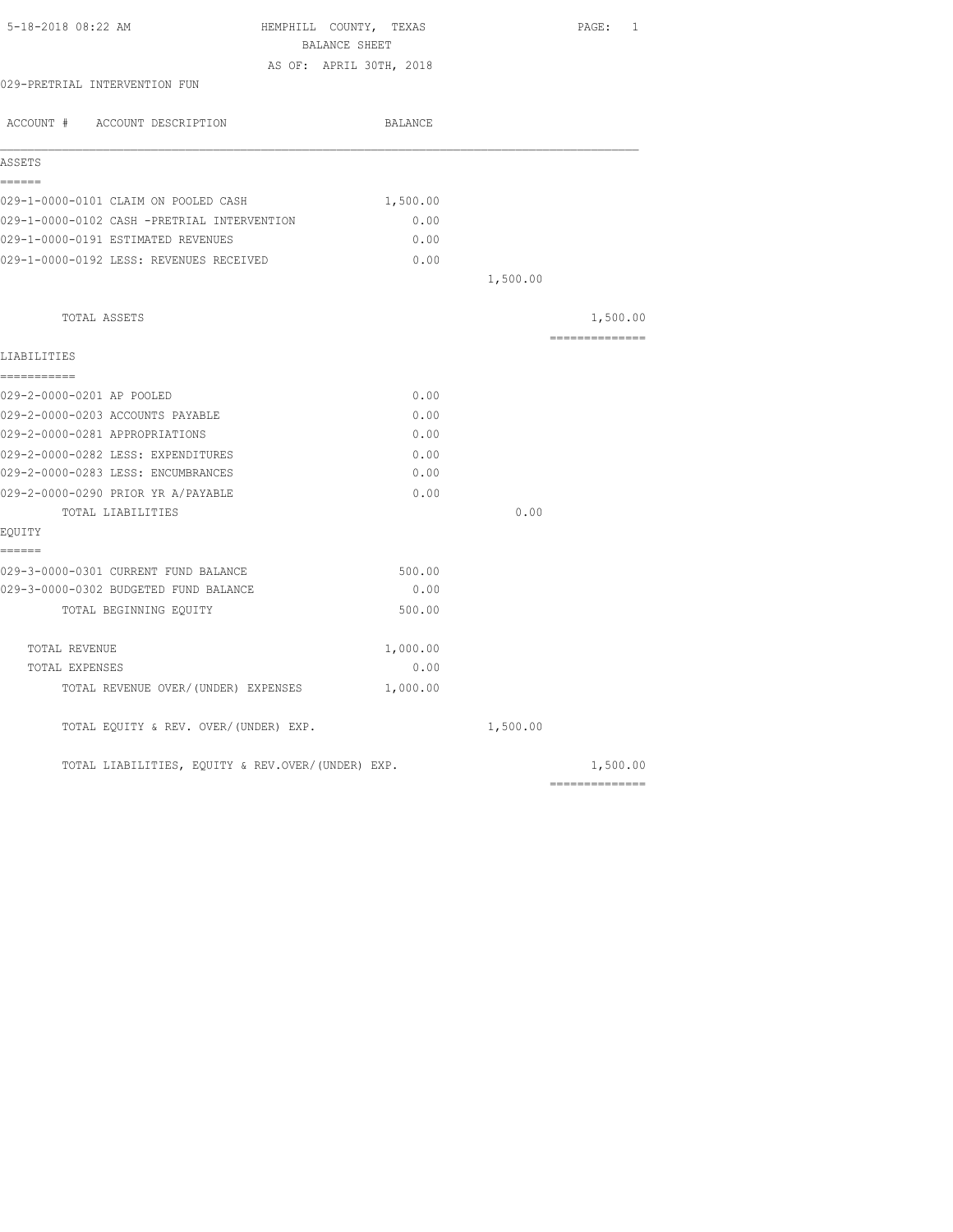| 5-18-2018 08:22 AM                                | HEMPHILL COUNTY, TEXAS  |          | PAGE: 1                         |
|---------------------------------------------------|-------------------------|----------|---------------------------------|
|                                                   | BALANCE SHEET           |          |                                 |
| 029-PRETRIAL INTERVENTION FUN                     | AS OF: APRIL 30TH, 2018 |          |                                 |
|                                                   |                         |          |                                 |
| ACCOUNT # ACCOUNT DESCRIPTION                     | BALANCE                 |          |                                 |
| ASSETS                                            |                         |          |                                 |
| ------                                            |                         |          |                                 |
| 029-1-0000-0101 CLAIM ON POOLED CASH              | 1,500.00                |          |                                 |
| 029-1-0000-0102 CASH -PRETRIAL INTERVENTION       | 0.00                    |          |                                 |
| 029-1-0000-0191 ESTIMATED REVENUES                | 0.00                    |          |                                 |
| 029-1-0000-0192 LESS: REVENUES RECEIVED           | 0.00                    |          |                                 |
|                                                   |                         | 1,500.00 |                                 |
| TOTAL ASSETS                                      |                         |          | 1,500.00                        |
| LIABILITIES                                       |                         |          | ==============                  |
| ===========                                       |                         |          |                                 |
| 029-2-0000-0201 AP POOLED                         | 0.00                    |          |                                 |
| 029-2-0000-0203 ACCOUNTS PAYABLE                  | 0.00                    |          |                                 |
| 029-2-0000-0281 APPROPRIATIONS                    | 0.00                    |          |                                 |
| 029-2-0000-0282 LESS: EXPENDITURES                | 0.00                    |          |                                 |
| 029-2-0000-0283 LESS: ENCUMBRANCES                | 0.00                    |          |                                 |
| 029-2-0000-0290 PRIOR YR A/PAYABLE                | 0.00                    |          |                                 |
| TOTAL LIABILITIES                                 |                         | 0.00     |                                 |
| EOUITY                                            |                         |          |                                 |
| ======                                            |                         |          |                                 |
| 029-3-0000-0301 CURRENT FUND BALANCE              | 500.00                  |          |                                 |
| 029-3-0000-0302 BUDGETED FUND BALANCE             | 0.00                    |          |                                 |
| TOTAL BEGINNING EQUITY                            | 500.00                  |          |                                 |
| TOTAL REVENUE                                     | 1,000.00                |          |                                 |
| TOTAL EXPENSES                                    | 0.00                    |          |                                 |
| TOTAL REVENUE OVER/(UNDER) EXPENSES               | 1,000.00                |          |                                 |
| TOTAL EQUITY & REV. OVER/(UNDER) EXP.             |                         | 1,500.00 |                                 |
| TOTAL LIABILITIES, EQUITY & REV.OVER/(UNDER) EXP. |                         |          | 1,500.00                        |
|                                                   |                         |          | $=$ = = = = = = = = = = = = = = |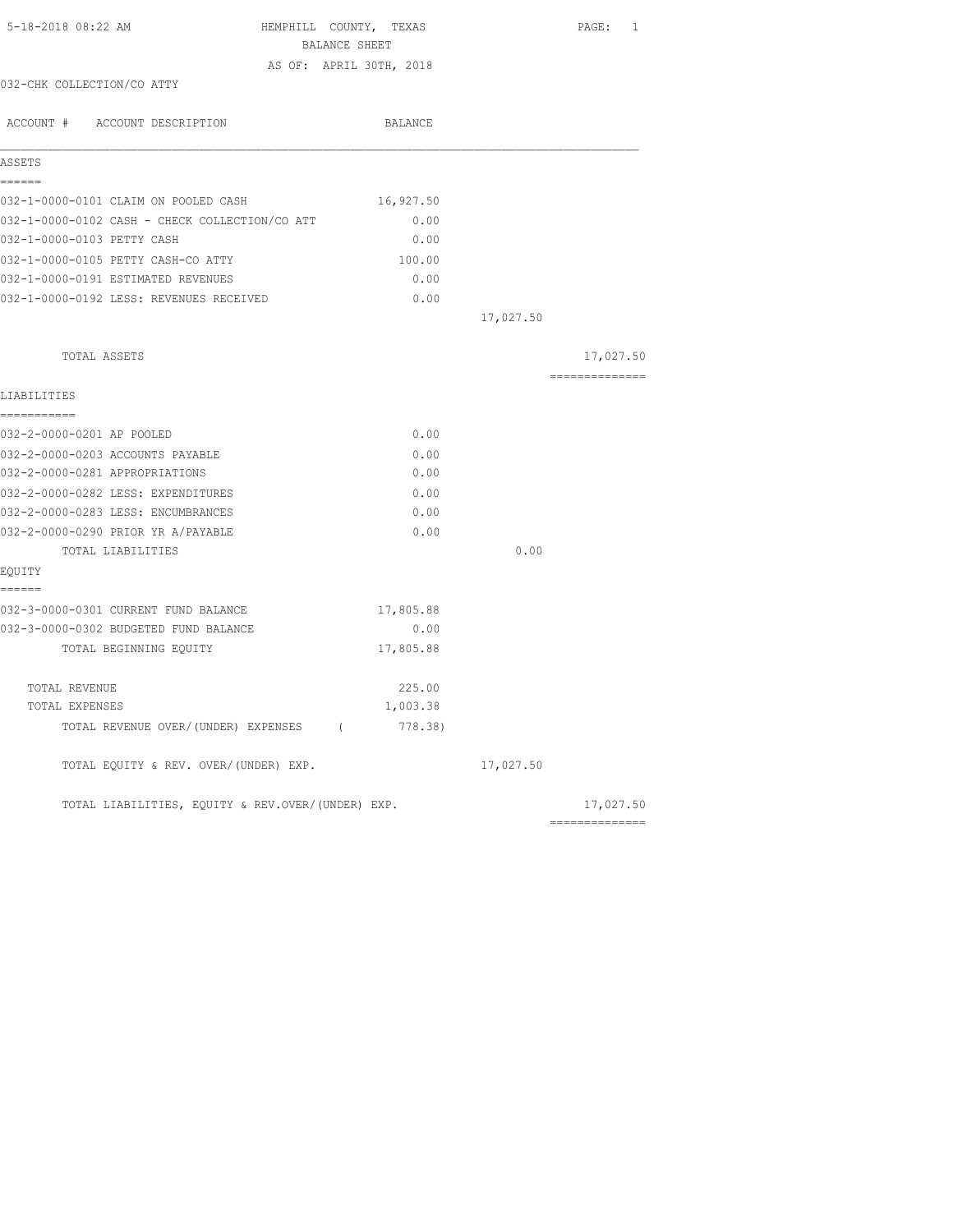| 5-18-2018 08:22 AM                                | HEMPHILL COUNTY, TEXAS  |           | PAGE: 1        |
|---------------------------------------------------|-------------------------|-----------|----------------|
|                                                   | BALANCE SHEET           |           |                |
|                                                   | AS OF: APRIL 30TH, 2018 |           |                |
| 032-CHK COLLECTION/CO ATTY                        |                         |           |                |
| ACCOUNT # ACCOUNT DESCRIPTION                     | BALANCE                 |           |                |
| <b>ASSETS</b>                                     |                         |           |                |
| ------                                            |                         |           |                |
| 032-1-0000-0101 CLAIM ON POOLED CASH              | 16,927.50               |           |                |
| 032-1-0000-0102 CASH - CHECK COLLECTION/CO ATT    | 0.00                    |           |                |
| 032-1-0000-0103 PETTY CASH                        | 0.00                    |           |                |
| 032-1-0000-0105 PETTY CASH-CO ATTY                | 100.00                  |           |                |
| 032-1-0000-0191 ESTIMATED REVENUES                | 0.00                    |           |                |
| 032-1-0000-0192 LESS: REVENUES RECEIVED           | 0.00                    |           |                |
|                                                   |                         | 17,027.50 |                |
| TOTAL ASSETS                                      |                         |           | 17,027.50      |
|                                                   |                         |           | ============== |
| LIABILITIES                                       |                         |           |                |
| -----------<br>032-2-0000-0201 AP POOLED          | 0.00                    |           |                |
| 032-2-0000-0203 ACCOUNTS PAYABLE                  | 0.00                    |           |                |
| 032-2-0000-0281 APPROPRIATIONS                    | 0.00                    |           |                |
| 032-2-0000-0282 LESS: EXPENDITURES                | 0.00                    |           |                |
| 032-2-0000-0283 LESS: ENCUMBRANCES                | 0.00                    |           |                |
| 032-2-0000-0290 PRIOR YR A/PAYABLE                | 0.00                    |           |                |
| TOTAL LIABILITIES                                 |                         | 0.00      |                |
| EQUITY                                            |                         |           |                |
| ======                                            |                         |           |                |
| 032-3-0000-0301 CURRENT FUND BALANCE              | 17,805.88               |           |                |
| 032-3-0000-0302 BUDGETED FUND BALANCE             | 0.00                    |           |                |
| TOTAL BEGINNING EQUITY                            | 17,805.88               |           |                |
| TOTAL REVENUE                                     | 225.00                  |           |                |
| TOTAL EXPENSES                                    | 1,003.38                |           |                |
| TOTAL REVENUE OVER/(UNDER) EXPENSES (778.38)      |                         |           |                |
| TOTAL EQUITY & REV. OVER/(UNDER) EXP.             |                         | 17,027.50 |                |
| TOTAL LIABILITIES, EQUITY & REV.OVER/(UNDER) EXP. |                         |           | 17,027.50      |
|                                                   |                         |           | -------------- |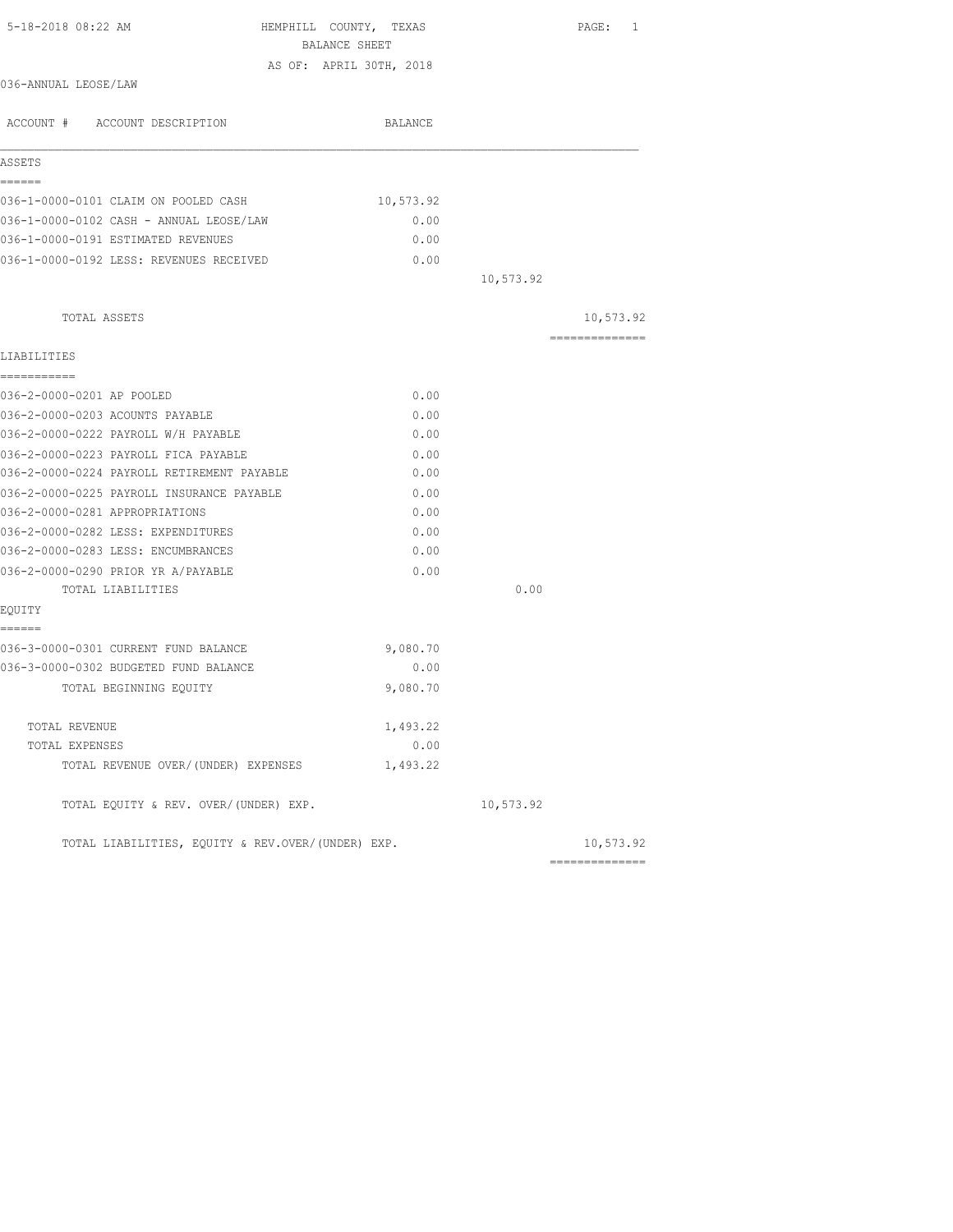| 5-18-2018 08:22 AM<br>HEMPHILL COUNTY, TEXAS      |           |           | PAGE: 1        |
|---------------------------------------------------|-----------|-----------|----------------|
| BALANCE SHEET                                     |           |           |                |
| AS OF: APRIL 30TH, 2018                           |           |           |                |
| 036-ANNUAL LEOSE/LAW                              |           |           |                |
| ACCOUNT # ACCOUNT DESCRIPTION                     | BALANCE   |           |                |
| ASSETS                                            |           |           |                |
| ======<br>036-1-0000-0101 CLAIM ON POOLED CASH    | 10,573.92 |           |                |
| 036-1-0000-0102 CASH - ANNUAL LEOSE/LAW           | 0.00      |           |                |
| 036-1-0000-0191 ESTIMATED REVENUES                | 0.00      |           |                |
| 036-1-0000-0192 LESS: REVENUES RECEIVED           | 0.00      |           |                |
|                                                   |           | 10,573.92 |                |
| TOTAL ASSETS                                      |           |           | 10,573.92      |
|                                                   |           |           | -------------- |
| LIABILITIES                                       |           |           |                |
| ===========                                       |           |           |                |
| 036-2-0000-0201 AP POOLED                         | 0.00      |           |                |
| 036-2-0000-0203 ACOUNTS PAYABLE                   | 0.00      |           |                |
| 036-2-0000-0222 PAYROLL W/H PAYABLE               | 0.00      |           |                |
| 036-2-0000-0223 PAYROLL FICA PAYABLE              | 0.00      |           |                |
| 036-2-0000-0224 PAYROLL RETIREMENT PAYABLE        | 0.00      |           |                |
| 036-2-0000-0225 PAYROLL INSURANCE PAYABLE         | 0.00      |           |                |
| 036-2-0000-0281 APPROPRIATIONS                    | 0.00      |           |                |
| 036-2-0000-0282 LESS: EXPENDITURES                | 0.00      |           |                |
| 036-2-0000-0283 LESS: ENCUMBRANCES                | 0.00      |           |                |
| 036-2-0000-0290 PRIOR YR A/PAYABLE                | 0.00      |           |                |
| TOTAL LIABILITIES                                 |           | 0.00      |                |
| EQUITY                                            |           |           |                |
| ======<br>036-3-0000-0301 CURRENT FUND BALANCE    | 9,080.70  |           |                |
| 036-3-0000-0302 BUDGETED FUND BALANCE             | 0.00      |           |                |
|                                                   | 9,080.70  |           |                |
| TOTAL BEGINNING EQUITY                            |           |           |                |
| TOTAL REVENUE                                     | 1,493.22  |           |                |
| TOTAL EXPENSES                                    | 0.00      |           |                |
| TOTAL REVENUE OVER/(UNDER) EXPENSES               | 1,493.22  |           |                |
| TOTAL EQUITY & REV. OVER/(UNDER) EXP.             |           | 10,573.92 |                |
| TOTAL LIABILITIES, EQUITY & REV.OVER/(UNDER) EXP. |           |           | 10,573.92      |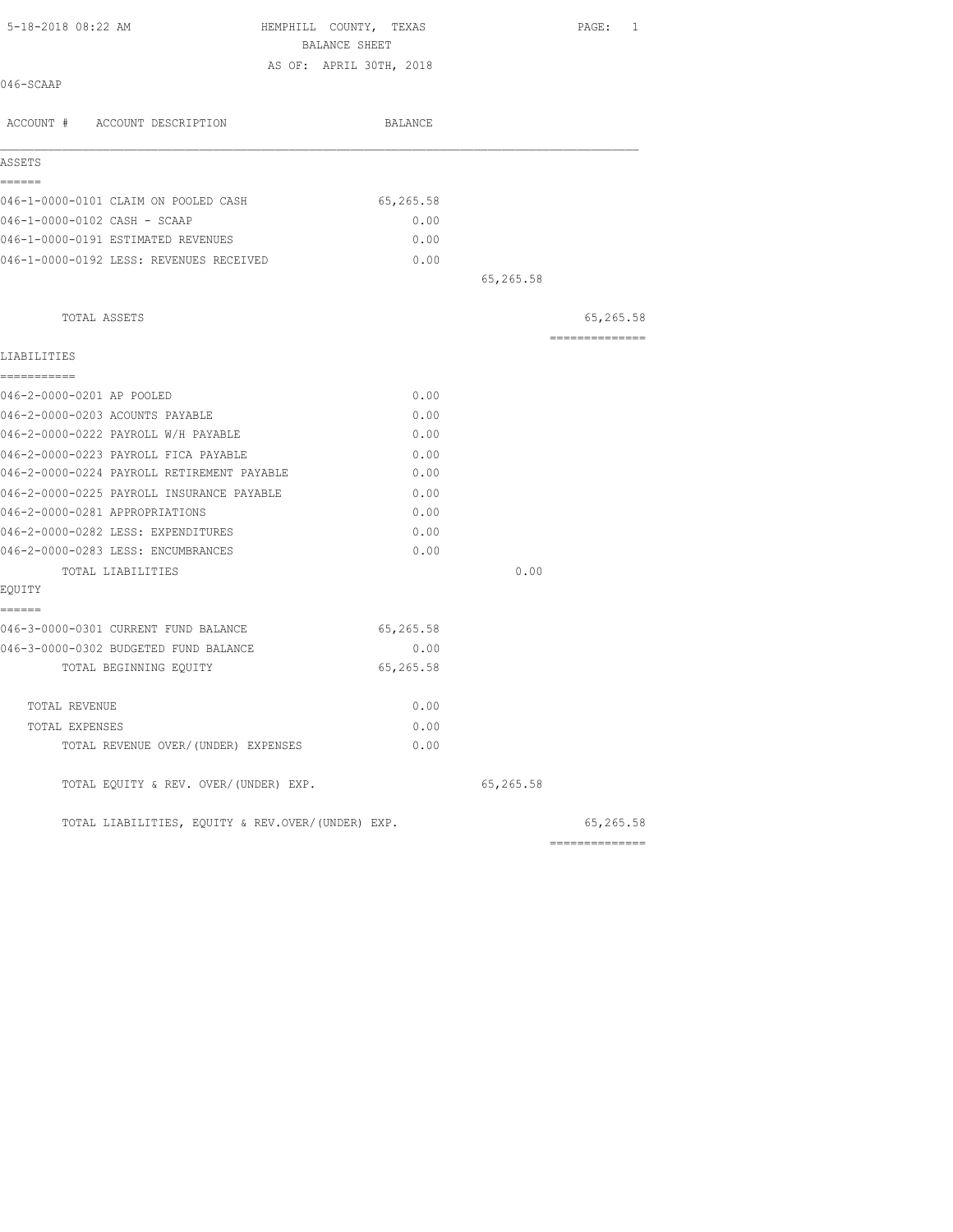| 5-18-2018 08:22 AM                                | HEMPHILL COUNTY, TEXAS<br>BALANCE SHEET |           | PAGE: 1        |
|---------------------------------------------------|-----------------------------------------|-----------|----------------|
|                                                   | AS OF: APRIL 30TH, 2018                 |           |                |
| 046-SCAAP                                         |                                         |           |                |
| ACCOUNT # ACCOUNT DESCRIPTION                     | BALANCE                                 |           |                |
| ASSETS                                            |                                         |           |                |
| ------                                            |                                         |           |                |
| 046-1-0000-0101 CLAIM ON POOLED CASH              | 65,265.58                               |           |                |
| 046-1-0000-0102 CASH - SCAAP                      | 0.00                                    |           |                |
| 046-1-0000-0191 ESTIMATED REVENUES                | 0.00                                    |           |                |
| 046-1-0000-0192 LESS: REVENUES RECEIVED           | 0.00                                    |           |                |
|                                                   |                                         | 65,265.58 |                |
| TOTAL ASSETS                                      |                                         |           | 65,265.58      |
| LIABILITIES                                       |                                         |           | ============== |
| ===========<br>046-2-0000-0201 AP POOLED          | 0.00                                    |           |                |
| 046-2-0000-0203 ACOUNTS PAYABLE                   | 0.00                                    |           |                |
| 046-2-0000-0222 PAYROLL W/H PAYABLE               | 0.00                                    |           |                |
| 046-2-0000-0223 PAYROLL FICA PAYABLE              | 0.00                                    |           |                |
| 046-2-0000-0224 PAYROLL RETIREMENT PAYABLE        | 0.00                                    |           |                |
| 046-2-0000-0225 PAYROLL INSURANCE PAYABLE         | 0.00                                    |           |                |
| 046-2-0000-0281 APPROPRIATIONS                    | 0.00                                    |           |                |
| 046-2-0000-0282 LESS: EXPENDITURES                | 0.00                                    |           |                |
| 046-2-0000-0283 LESS: ENCUMBRANCES                | 0.00                                    |           |                |
| TOTAL LIABILITIES                                 |                                         | 0.00      |                |
| EQUITY                                            |                                         |           |                |
| ======                                            |                                         |           |                |
| 046-3-0000-0301 CURRENT FUND BALANCE              | 65,265.58                               |           |                |
| 046-3-0000-0302 BUDGETED FUND BALANCE             | 0.00                                    |           |                |
| TOTAL BEGINNING EQUITY                            | 65,265.58                               |           |                |
| TOTAL REVENUE                                     | 0.00                                    |           |                |
| TOTAL EXPENSES                                    | 0.00                                    |           |                |
| TOTAL REVENUE OVER/(UNDER) EXPENSES               | 0.00                                    |           |                |
| TOTAL EQUITY & REV. OVER/(UNDER) EXP.             |                                         | 65,265.58 |                |
| TOTAL LIABILITIES, EOUITY & REV.OVER/(UNDER) EXP. |                                         |           | 65,265.58      |
|                                                   |                                         |           | ============== |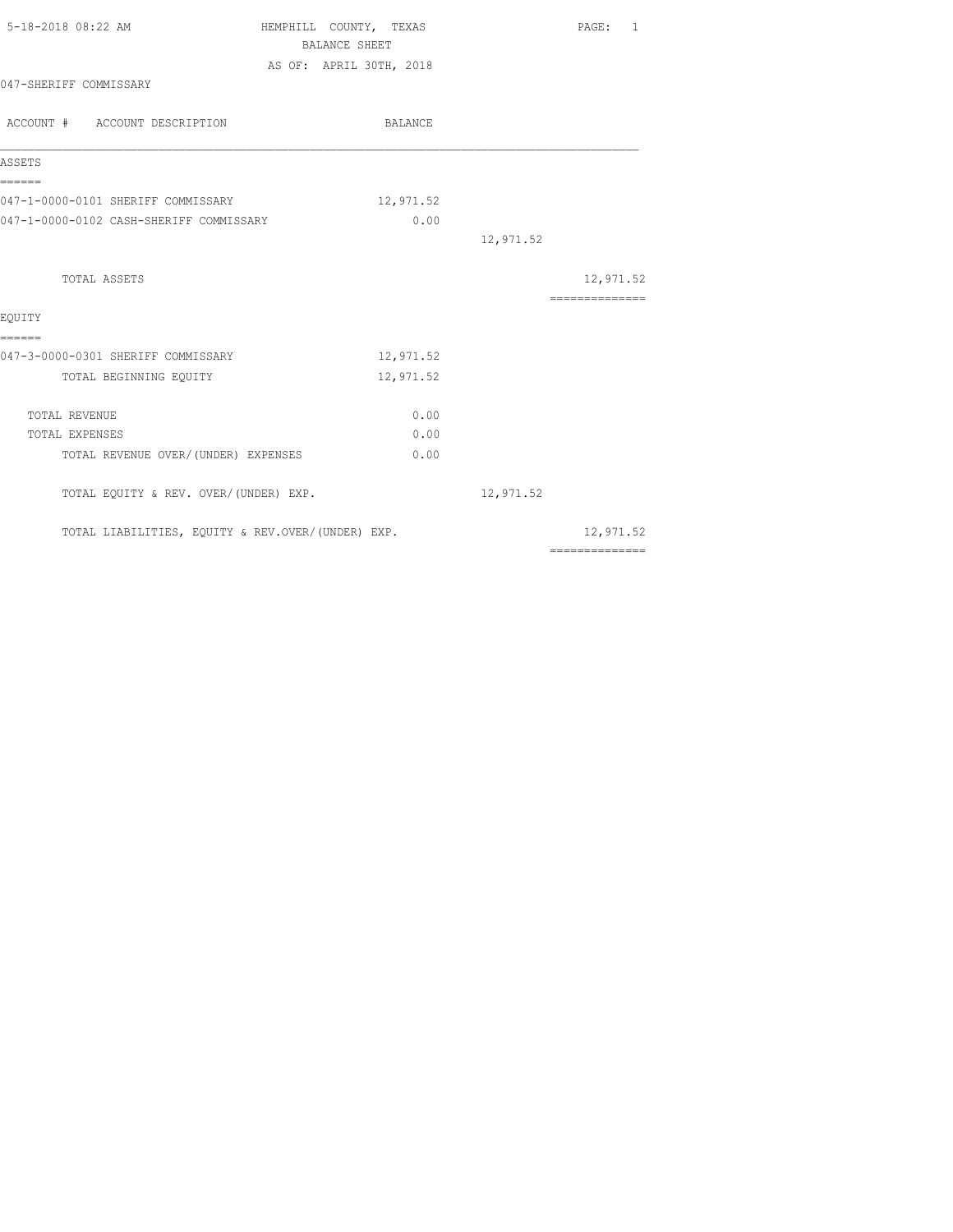| 5-18-2018 08:22 AM                                | HEMPHILL COUNTY, TEXAS<br><b>BALANCE SHEET</b> |           | PAGE:<br>1                                                                                                                                                                                                                                                                                                                                                                                                                                                                             |
|---------------------------------------------------|------------------------------------------------|-----------|----------------------------------------------------------------------------------------------------------------------------------------------------------------------------------------------------------------------------------------------------------------------------------------------------------------------------------------------------------------------------------------------------------------------------------------------------------------------------------------|
|                                                   | AS OF: APRIL 30TH, 2018                        |           |                                                                                                                                                                                                                                                                                                                                                                                                                                                                                        |
| 047-SHERIFF COMMISSARY                            |                                                |           |                                                                                                                                                                                                                                                                                                                                                                                                                                                                                        |
| ACCOUNT # ACCOUNT DESCRIPTION                     | BALANCE                                        |           |                                                                                                                                                                                                                                                                                                                                                                                                                                                                                        |
| ASSETS                                            |                                                |           |                                                                                                                                                                                                                                                                                                                                                                                                                                                                                        |
| ======<br>047-1-0000-0101 SHERIFF COMMISSARY      | 12,971.52                                      |           |                                                                                                                                                                                                                                                                                                                                                                                                                                                                                        |
| 047-1-0000-0102 CASH-SHERIFF COMMISSARY           | 0.00                                           |           |                                                                                                                                                                                                                                                                                                                                                                                                                                                                                        |
|                                                   |                                                | 12,971.52 |                                                                                                                                                                                                                                                                                                                                                                                                                                                                                        |
| TOTAL ASSETS                                      |                                                |           | 12,971.52                                                                                                                                                                                                                                                                                                                                                                                                                                                                              |
|                                                   |                                                |           |                                                                                                                                                                                                                                                                                                                                                                                                                                                                                        |
| EOUITY<br>======                                  |                                                |           |                                                                                                                                                                                                                                                                                                                                                                                                                                                                                        |
| 047-3-0000-0301 SHERIFF COMMISSARY                | 12,971.52                                      |           |                                                                                                                                                                                                                                                                                                                                                                                                                                                                                        |
| TOTAL BEGINNING EQUITY                            | 12,971.52                                      |           |                                                                                                                                                                                                                                                                                                                                                                                                                                                                                        |
| TOTAL REVENUE                                     | 0.00                                           |           |                                                                                                                                                                                                                                                                                                                                                                                                                                                                                        |
| TOTAL EXPENSES                                    | 0.00                                           |           |                                                                                                                                                                                                                                                                                                                                                                                                                                                                                        |
| TOTAL REVENUE OVER/ (UNDER) EXPENSES              | 0.00                                           |           |                                                                                                                                                                                                                                                                                                                                                                                                                                                                                        |
| TOTAL EQUITY & REV. OVER/(UNDER) EXP.             |                                                | 12,971.52 |                                                                                                                                                                                                                                                                                                                                                                                                                                                                                        |
| TOTAL LIABILITIES, EQUITY & REV.OVER/(UNDER) EXP. |                                                |           | 12,971.52                                                                                                                                                                                                                                                                                                                                                                                                                                                                              |
|                                                   |                                                |           | $\begin{array}{cccccccccccccc} \multicolumn{2}{c}{} & \multicolumn{2}{c}{} & \multicolumn{2}{c}{} & \multicolumn{2}{c}{} & \multicolumn{2}{c}{} & \multicolumn{2}{c}{} & \multicolumn{2}{c}{} & \multicolumn{2}{c}{} & \multicolumn{2}{c}{} & \multicolumn{2}{c}{} & \multicolumn{2}{c}{} & \multicolumn{2}{c}{} & \multicolumn{2}{c}{} & \multicolumn{2}{c}{} & \multicolumn{2}{c}{} & \multicolumn{2}{c}{} & \multicolumn{2}{c}{} & \multicolumn{2}{c}{} & \multicolumn{2}{c}{} & \$ |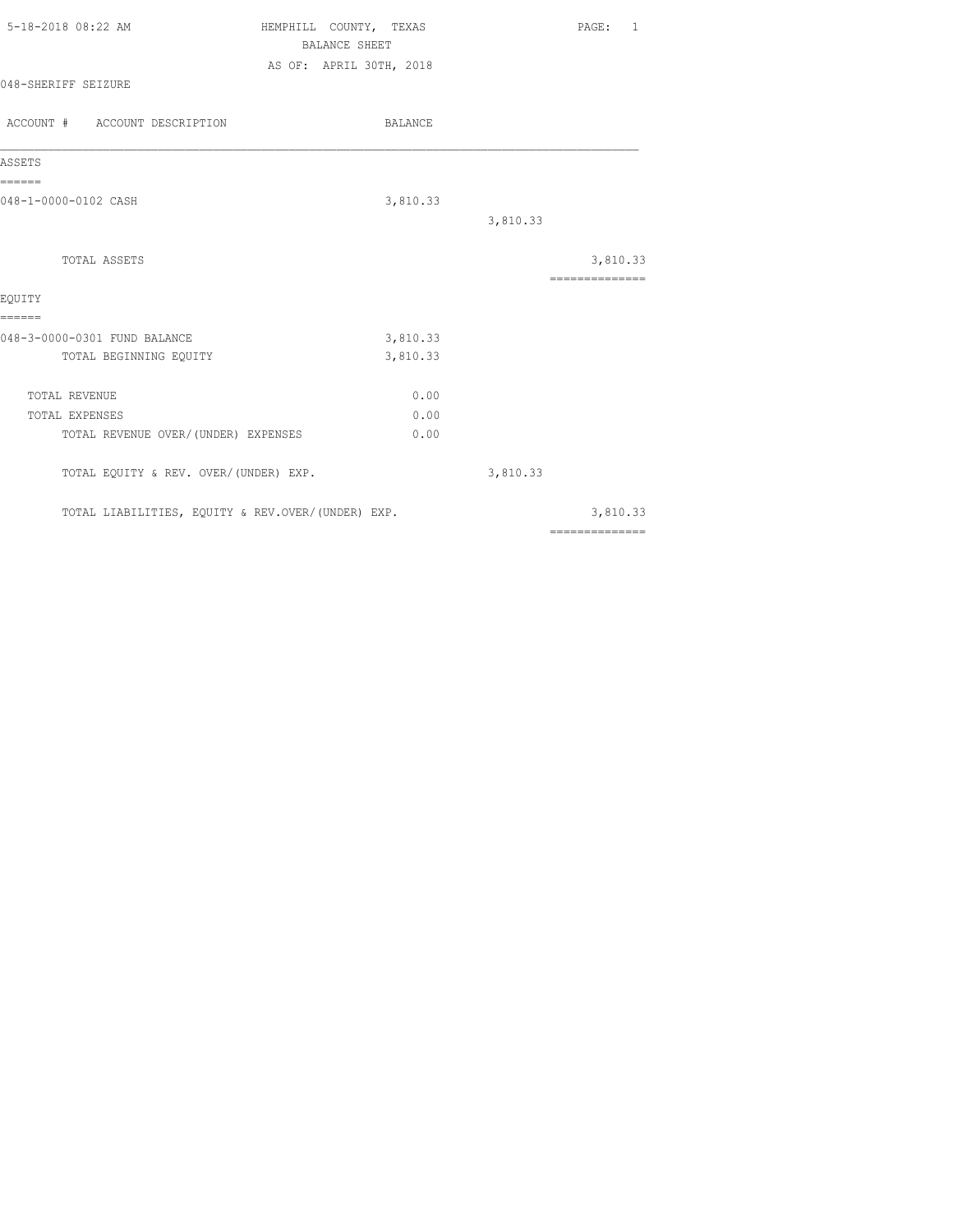| 5-18-2018 08:22 AM                                | HEMPHILL COUNTY, TEXAS<br><b>BALANCE SHEET</b> |          | PAGE: 1                                                                                                                                                                                                                                                                                                                                                                                                                                                                                |
|---------------------------------------------------|------------------------------------------------|----------|----------------------------------------------------------------------------------------------------------------------------------------------------------------------------------------------------------------------------------------------------------------------------------------------------------------------------------------------------------------------------------------------------------------------------------------------------------------------------------------|
|                                                   |                                                |          |                                                                                                                                                                                                                                                                                                                                                                                                                                                                                        |
| 048-SHERIFF SEIZURE                               | AS OF: APRIL 30TH, 2018                        |          |                                                                                                                                                                                                                                                                                                                                                                                                                                                                                        |
| ACCOUNT # ACCOUNT DESCRIPTION                     | BALANCE                                        |          |                                                                                                                                                                                                                                                                                                                                                                                                                                                                                        |
| ASSETS                                            |                                                |          |                                                                                                                                                                                                                                                                                                                                                                                                                                                                                        |
| ======<br>048-1-0000-0102 CASH                    | 3,810.33                                       |          |                                                                                                                                                                                                                                                                                                                                                                                                                                                                                        |
|                                                   |                                                | 3,810.33 |                                                                                                                                                                                                                                                                                                                                                                                                                                                                                        |
| TOTAL ASSETS                                      |                                                |          | 3,810.33                                                                                                                                                                                                                                                                                                                                                                                                                                                                               |
| EQUITY                                            |                                                |          | $\begin{array}{cccccccccccccc} \multicolumn{2}{c}{} & \multicolumn{2}{c}{} & \multicolumn{2}{c}{} & \multicolumn{2}{c}{} & \multicolumn{2}{c}{} & \multicolumn{2}{c}{} & \multicolumn{2}{c}{} & \multicolumn{2}{c}{} & \multicolumn{2}{c}{} & \multicolumn{2}{c}{} & \multicolumn{2}{c}{} & \multicolumn{2}{c}{} & \multicolumn{2}{c}{} & \multicolumn{2}{c}{} & \multicolumn{2}{c}{} & \multicolumn{2}{c}{} & \multicolumn{2}{c}{} & \multicolumn{2}{c}{} & \multicolumn{2}{c}{} & \$ |
| ======                                            |                                                |          |                                                                                                                                                                                                                                                                                                                                                                                                                                                                                        |
| 048-3-0000-0301 FUND BALANCE                      | 3,810.33                                       |          |                                                                                                                                                                                                                                                                                                                                                                                                                                                                                        |
| TOTAL BEGINNING EQUITY                            | 3,810.33                                       |          |                                                                                                                                                                                                                                                                                                                                                                                                                                                                                        |
| TOTAL REVENUE                                     | 0.00                                           |          |                                                                                                                                                                                                                                                                                                                                                                                                                                                                                        |
| TOTAL EXPENSES                                    | 0.00                                           |          |                                                                                                                                                                                                                                                                                                                                                                                                                                                                                        |
| TOTAL REVENUE OVER/(UNDER) EXPENSES               | 0.00                                           |          |                                                                                                                                                                                                                                                                                                                                                                                                                                                                                        |
| TOTAL EQUITY & REV. OVER/(UNDER) EXP.             |                                                | 3,810.33 |                                                                                                                                                                                                                                                                                                                                                                                                                                                                                        |
| TOTAL LIABILITIES, EQUITY & REV.OVER/(UNDER) EXP. |                                                |          | 3,810.33                                                                                                                                                                                                                                                                                                                                                                                                                                                                               |
|                                                   |                                                |          | $\begin{array}{cccccccccccccc} \multicolumn{2}{c}{} & \multicolumn{2}{c}{} & \multicolumn{2}{c}{} & \multicolumn{2}{c}{} & \multicolumn{2}{c}{} & \multicolumn{2}{c}{} & \multicolumn{2}{c}{} & \multicolumn{2}{c}{} & \multicolumn{2}{c}{} & \multicolumn{2}{c}{} & \multicolumn{2}{c}{} & \multicolumn{2}{c}{} & \multicolumn{2}{c}{} & \multicolumn{2}{c}{} & \multicolumn{2}{c}{} & \multicolumn{2}{c}{} & \multicolumn{2}{c}{} & \multicolumn{2}{c}{} & \multicolumn{2}{c}{} & \$ |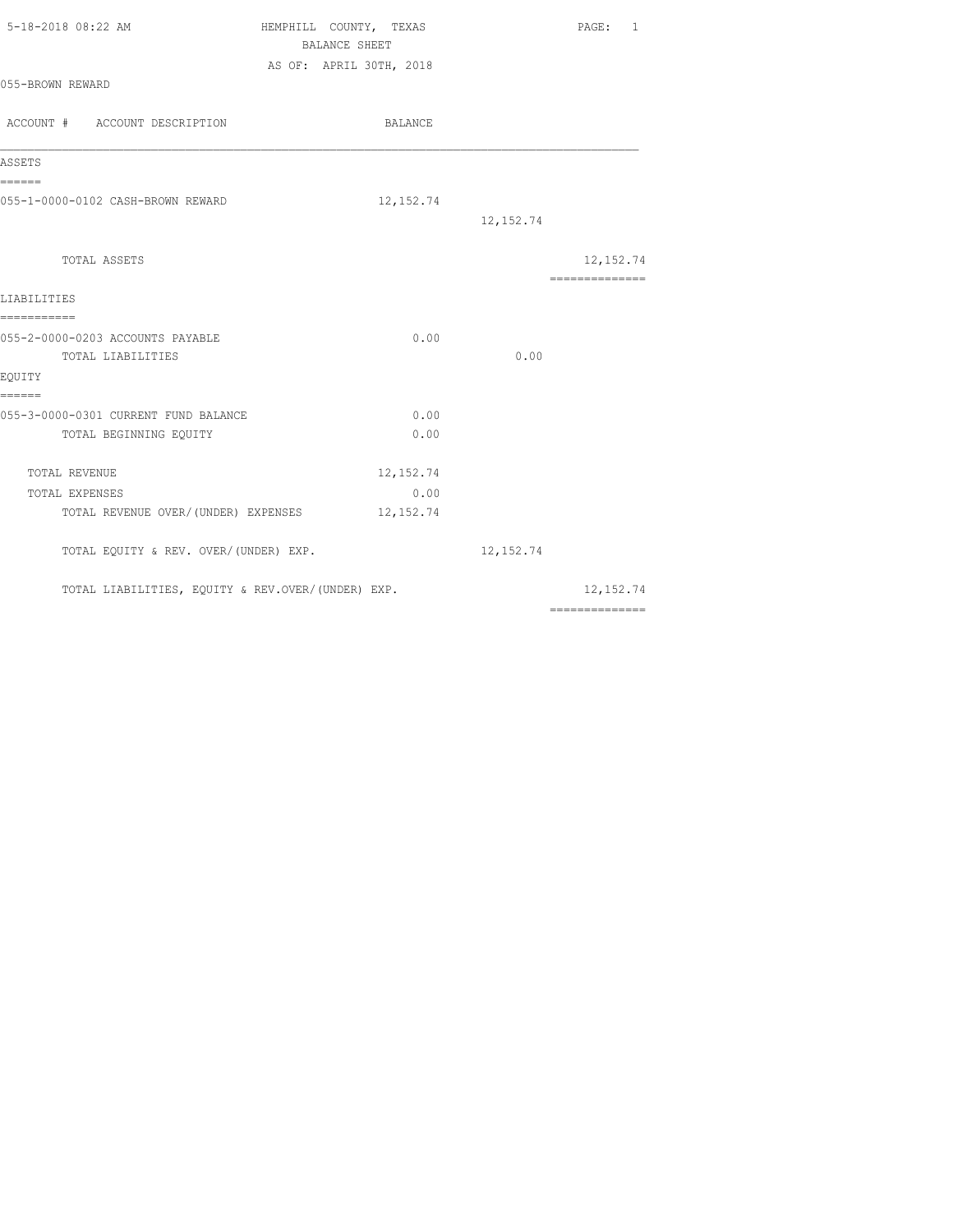| HEMPHILL COUNTY, TEXAS<br>BALANCE SHEET           |            | PAGE: 1                                                                                                                                                                                                                                                                                                                                                                                                                                                                                             |
|---------------------------------------------------|------------|-----------------------------------------------------------------------------------------------------------------------------------------------------------------------------------------------------------------------------------------------------------------------------------------------------------------------------------------------------------------------------------------------------------------------------------------------------------------------------------------------------|
| AS OF: APRIL 30TH, 2018                           |            |                                                                                                                                                                                                                                                                                                                                                                                                                                                                                                     |
| BALANCE                                           |            |                                                                                                                                                                                                                                                                                                                                                                                                                                                                                                     |
|                                                   |            |                                                                                                                                                                                                                                                                                                                                                                                                                                                                                                     |
| 12, 152.74                                        | 12, 152.74 |                                                                                                                                                                                                                                                                                                                                                                                                                                                                                                     |
|                                                   |            | 12, 152.74                                                                                                                                                                                                                                                                                                                                                                                                                                                                                          |
|                                                   |            | ---------------                                                                                                                                                                                                                                                                                                                                                                                                                                                                                     |
|                                                   |            |                                                                                                                                                                                                                                                                                                                                                                                                                                                                                                     |
|                                                   |            |                                                                                                                                                                                                                                                                                                                                                                                                                                                                                                     |
|                                                   |            |                                                                                                                                                                                                                                                                                                                                                                                                                                                                                                     |
| 0.00                                              |            |                                                                                                                                                                                                                                                                                                                                                                                                                                                                                                     |
| 0.00                                              |            |                                                                                                                                                                                                                                                                                                                                                                                                                                                                                                     |
| 12, 152.74                                        |            |                                                                                                                                                                                                                                                                                                                                                                                                                                                                                                     |
| 0.00                                              |            |                                                                                                                                                                                                                                                                                                                                                                                                                                                                                                     |
| TOTAL REVENUE OVER/(UNDER) EXPENSES 12,152.74     |            |                                                                                                                                                                                                                                                                                                                                                                                                                                                                                                     |
| TOTAL EQUITY & REV. OVER/(UNDER) EXP.             | 12, 152.74 |                                                                                                                                                                                                                                                                                                                                                                                                                                                                                                     |
| TOTAL LIABILITIES, EQUITY & REV.OVER/(UNDER) EXP. |            | 12,152.74<br>$\begin{array}{cccccccccc} \multicolumn{2}{c}{} & \multicolumn{2}{c}{} & \multicolumn{2}{c}{} & \multicolumn{2}{c}{} & \multicolumn{2}{c}{} & \multicolumn{2}{c}{} & \multicolumn{2}{c}{} & \multicolumn{2}{c}{} & \multicolumn{2}{c}{} & \multicolumn{2}{c}{} & \multicolumn{2}{c}{} & \multicolumn{2}{c}{} & \multicolumn{2}{c}{} & \multicolumn{2}{c}{} & \multicolumn{2}{c}{} & \multicolumn{2}{c}{} & \multicolumn{2}{c}{} & \multicolumn{2}{c}{} & \multicolumn{2}{c}{} & \mult$ |
|                                                   | 0.00       | 0.00                                                                                                                                                                                                                                                                                                                                                                                                                                                                                                |